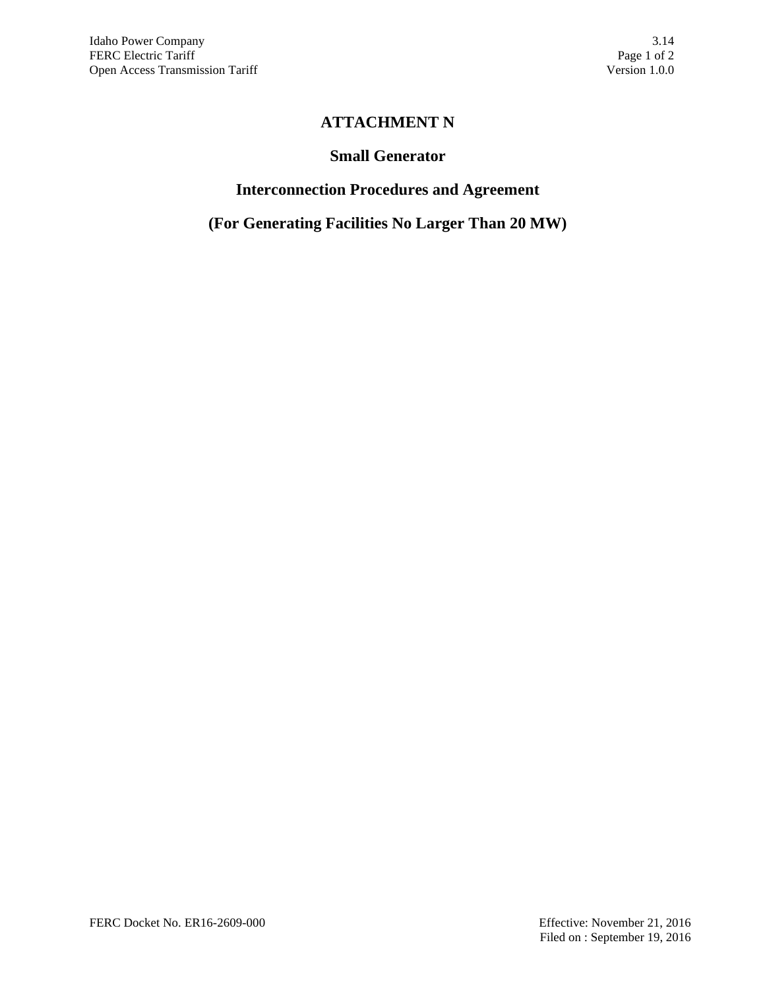# **ATTACHMENT N**

### **Small Generator**

# **Interconnection Procedures and Agreement**

**(For Generating Facilities No Larger Than 20 MW)**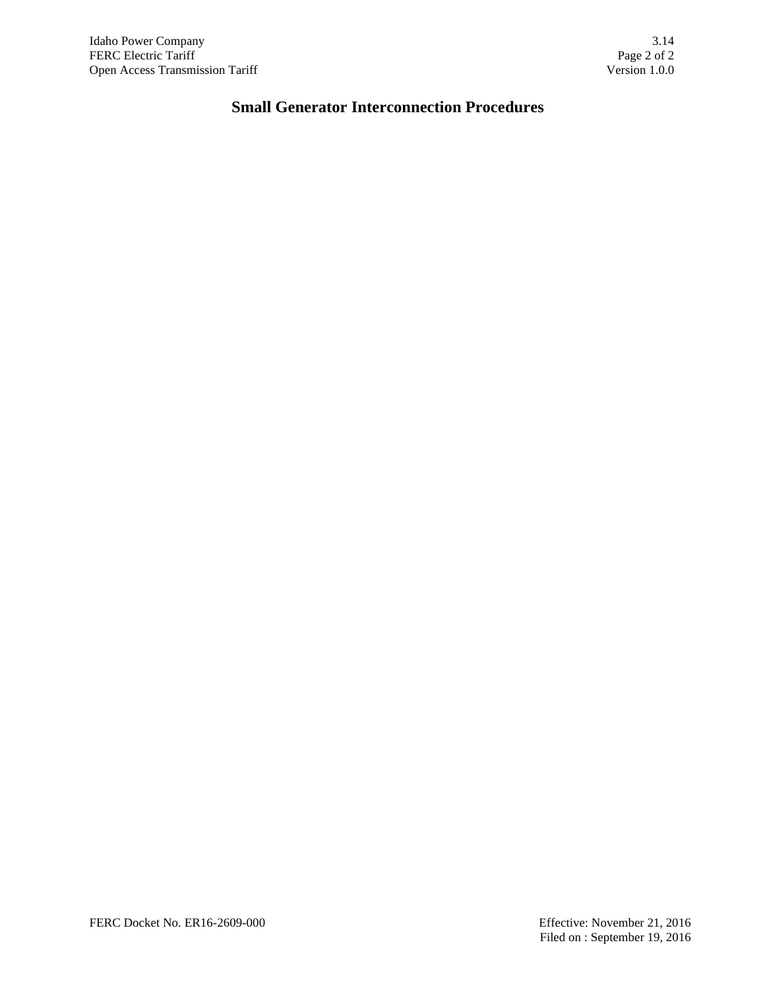# **Small Generator Interconnection Procedures**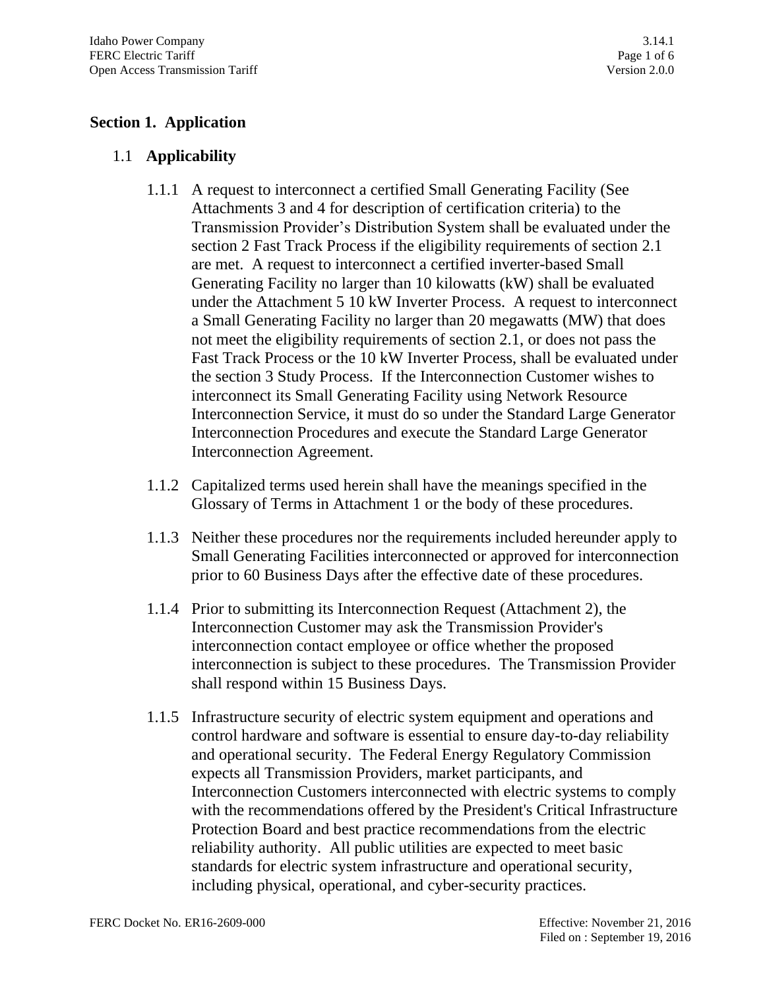# **Section 1. Application**

# 1.1 **Applicability**

- 1.1.1 A request to interconnect a certified Small Generating Facility (See Attachments 3 and 4 for description of certification criteria) to the Transmission Provider's Distribution System shall be evaluated under the section 2 Fast Track Process if the eligibility requirements of section 2.1 are met. A request to interconnect a certified inverter-based Small Generating Facility no larger than 10 kilowatts (kW) shall be evaluated under the Attachment 5 10 kW Inverter Process. A request to interconnect a Small Generating Facility no larger than 20 megawatts (MW) that does not meet the eligibility requirements of section 2.1, or does not pass the Fast Track Process or the 10 kW Inverter Process, shall be evaluated under the section 3 Study Process. If the Interconnection Customer wishes to interconnect its Small Generating Facility using Network Resource Interconnection Service, it must do so under the Standard Large Generator Interconnection Procedures and execute the Standard Large Generator Interconnection Agreement.
- 1.1.2 Capitalized terms used herein shall have the meanings specified in the Glossary of Terms in Attachment 1 or the body of these procedures.
- 1.1.3 Neither these procedures nor the requirements included hereunder apply to Small Generating Facilities interconnected or approved for interconnection prior to 60 Business Days after the effective date of these procedures.
- 1.1.4 Prior to submitting its Interconnection Request (Attachment 2), the Interconnection Customer may ask the Transmission Provider's interconnection contact employee or office whether the proposed interconnection is subject to these procedures. The Transmission Provider shall respond within 15 Business Days.
- 1.1.5 Infrastructure security of electric system equipment and operations and control hardware and software is essential to ensure day-to-day reliability and operational security. The Federal Energy Regulatory Commission expects all Transmission Providers, market participants, and Interconnection Customers interconnected with electric systems to comply with the recommendations offered by the President's Critical Infrastructure Protection Board and best practice recommendations from the electric reliability authority. All public utilities are expected to meet basic standards for electric system infrastructure and operational security, including physical, operational, and cyber-security practices.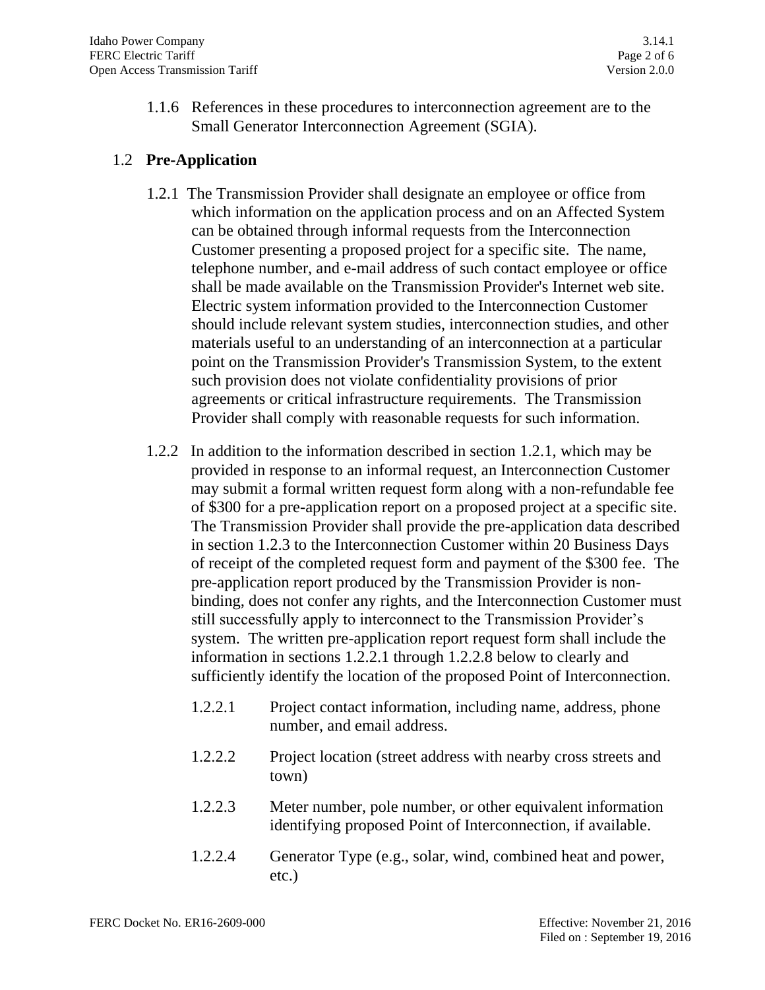1.1.6 References in these procedures to interconnection agreement are to the Small Generator Interconnection Agreement (SGIA).

## 1.2 **Pre-Application**

- 1.2.1 The Transmission Provider shall designate an employee or office from which information on the application process and on an Affected System can be obtained through informal requests from the Interconnection Customer presenting a proposed project for a specific site. The name, telephone number, and e-mail address of such contact employee or office shall be made available on the Transmission Provider's Internet web site. Electric system information provided to the Interconnection Customer should include relevant system studies, interconnection studies, and other materials useful to an understanding of an interconnection at a particular point on the Transmission Provider's Transmission System, to the extent such provision does not violate confidentiality provisions of prior agreements or critical infrastructure requirements. The Transmission Provider shall comply with reasonable requests for such information.
- 1.2.2 In addition to the information described in section 1.2.1, which may be provided in response to an informal request, an Interconnection Customer may submit a formal written request form along with a non-refundable fee of \$300 for a pre-application report on a proposed project at a specific site. The Transmission Provider shall provide the pre-application data described in section 1.2.3 to the Interconnection Customer within 20 Business Days of receipt of the completed request form and payment of the \$300 fee. The pre-application report produced by the Transmission Provider is nonbinding, does not confer any rights, and the Interconnection Customer must still successfully apply to interconnect to the Transmission Provider's system. The written pre-application report request form shall include the information in sections 1.2.2.1 through 1.2.2.8 below to clearly and sufficiently identify the location of the proposed Point of Interconnection.
	- 1.2.2.1 Project contact information, including name, address, phone number, and email address.
	- 1.2.2.2 Project location (street address with nearby cross streets and town)
	- 1.2.2.3 Meter number, pole number, or other equivalent information identifying proposed Point of Interconnection, if available.
	- 1.2.2.4 Generator Type (e.g., solar, wind, combined heat and power, etc.)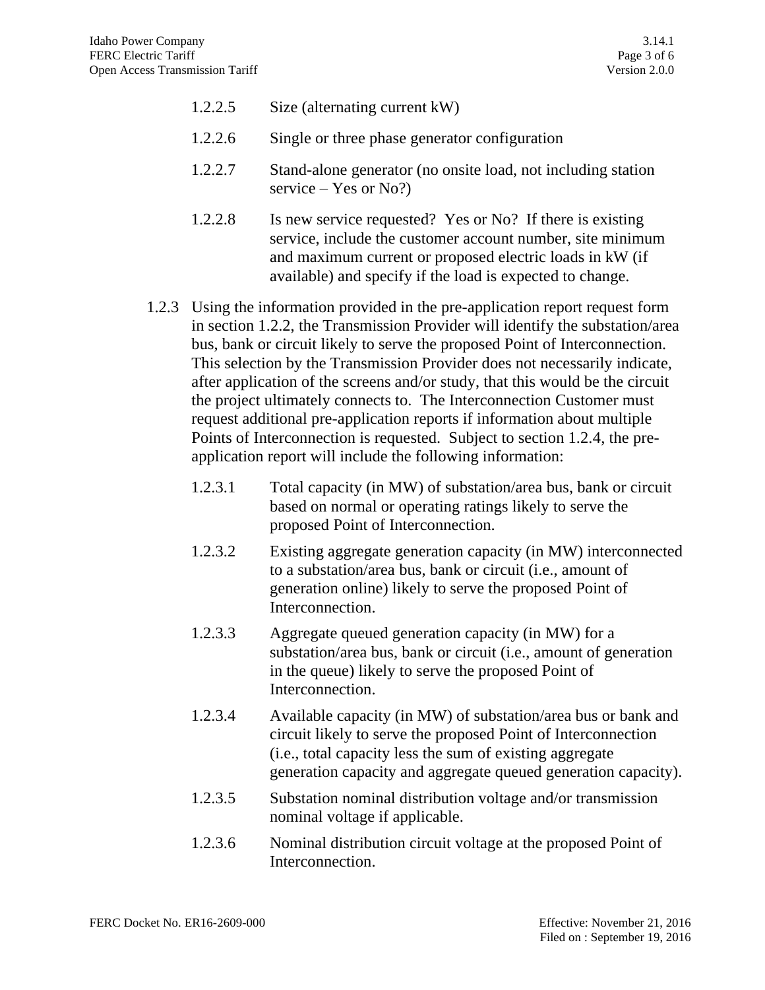| 1.2.2.5 |  | Size (alternating current kW) |
|---------|--|-------------------------------|
|---------|--|-------------------------------|

- 1.2.2.6 Single or three phase generator configuration
- 1.2.2.7 Stand-alone generator (no onsite load, not including station service – Yes or No?)
- 1.2.2.8 Is new service requested? Yes or No? If there is existing service, include the customer account number, site minimum and maximum current or proposed electric loads in kW (if available) and specify if the load is expected to change.
- 1.2.3 Using the information provided in the pre-application report request form in section 1.2.2, the Transmission Provider will identify the substation/area bus, bank or circuit likely to serve the proposed Point of Interconnection. This selection by the Transmission Provider does not necessarily indicate, after application of the screens and/or study, that this would be the circuit the project ultimately connects to. The Interconnection Customer must request additional pre-application reports if information about multiple Points of Interconnection is requested. Subject to section 1.2.4, the preapplication report will include the following information:
	- 1.2.3.1 Total capacity (in MW) of substation/area bus, bank or circuit based on normal or operating ratings likely to serve the proposed Point of Interconnection.
	- 1.2.3.2 Existing aggregate generation capacity (in MW) interconnected to a substation/area bus, bank or circuit (i.e., amount of generation online) likely to serve the proposed Point of Interconnection.
	- 1.2.3.3 Aggregate queued generation capacity (in MW) for a substation/area bus, bank or circuit (i.e., amount of generation in the queue) likely to serve the proposed Point of Interconnection.
	- 1.2.3.4 Available capacity (in MW) of substation/area bus or bank and circuit likely to serve the proposed Point of Interconnection (i.e., total capacity less the sum of existing aggregate generation capacity and aggregate queued generation capacity).
	- 1.2.3.5 Substation nominal distribution voltage and/or transmission nominal voltage if applicable.
	- 1.2.3.6 Nominal distribution circuit voltage at the proposed Point of Interconnection.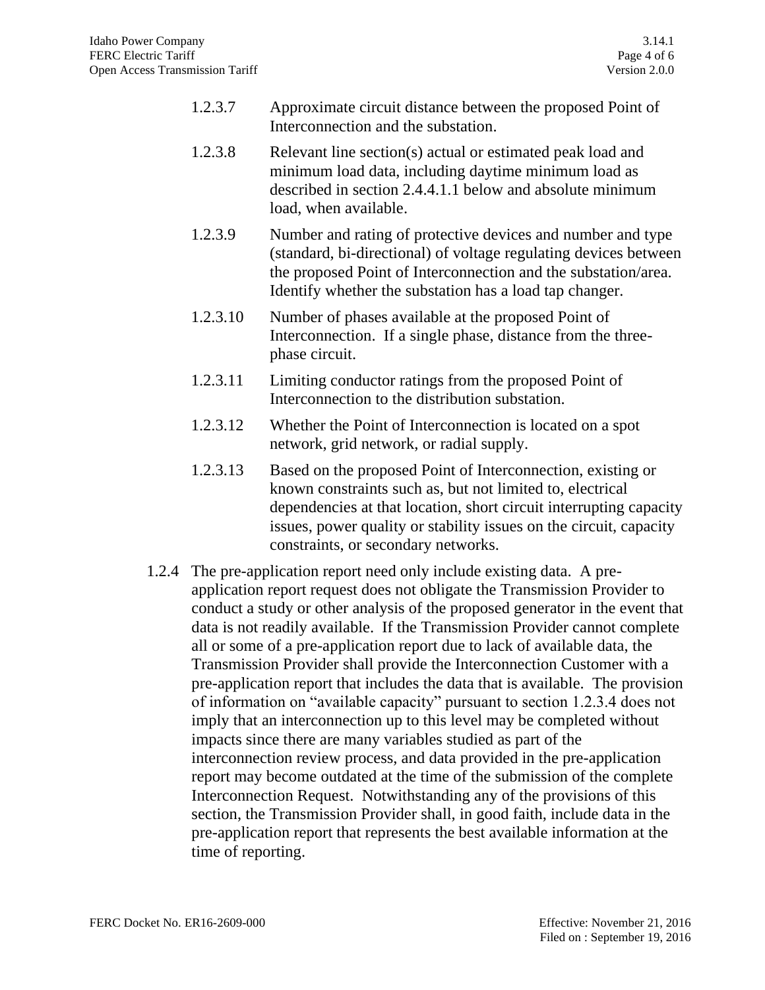- 1.2.3.7 Approximate circuit distance between the proposed Point of Interconnection and the substation.
- 1.2.3.8 Relevant line section(s) actual or estimated peak load and minimum load data, including daytime minimum load as described in section 2.4.4.1.1 below and absolute minimum load, when available.
- 1.2.3.9 Number and rating of protective devices and number and type (standard, bi-directional) of voltage regulating devices between the proposed Point of Interconnection and the substation/area. Identify whether the substation has a load tap changer.
- 1.2.3.10 Number of phases available at the proposed Point of Interconnection. If a single phase, distance from the threephase circuit.
- 1.2.3.11 Limiting conductor ratings from the proposed Point of Interconnection to the distribution substation.
- 1.2.3.12 Whether the Point of Interconnection is located on a spot network, grid network, or radial supply.
- 1.2.3.13 Based on the proposed Point of Interconnection, existing or known constraints such as, but not limited to, electrical dependencies at that location, short circuit interrupting capacity issues, power quality or stability issues on the circuit, capacity constraints, or secondary networks.
- 1.2.4 The pre-application report need only include existing data. A preapplication report request does not obligate the Transmission Provider to conduct a study or other analysis of the proposed generator in the event that data is not readily available. If the Transmission Provider cannot complete all or some of a pre-application report due to lack of available data, the Transmission Provider shall provide the Interconnection Customer with a pre-application report that includes the data that is available. The provision of information on "available capacity" pursuant to section 1.2.3.4 does not imply that an interconnection up to this level may be completed without impacts since there are many variables studied as part of the interconnection review process, and data provided in the pre-application report may become outdated at the time of the submission of the complete Interconnection Request. Notwithstanding any of the provisions of this section, the Transmission Provider shall, in good faith, include data in the pre-application report that represents the best available information at the time of reporting.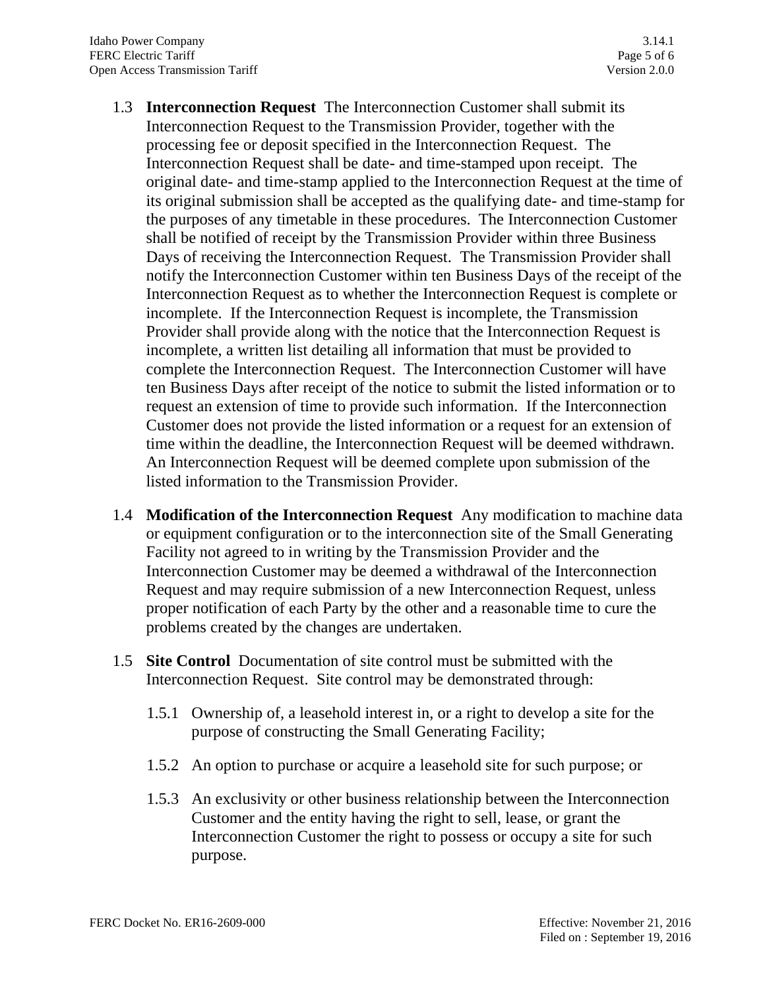- 1.3 **Interconnection Request** The Interconnection Customer shall submit its Interconnection Request to the Transmission Provider, together with the processing fee or deposit specified in the Interconnection Request. The Interconnection Request shall be date- and time-stamped upon receipt. The original date- and time-stamp applied to the Interconnection Request at the time of its original submission shall be accepted as the qualifying date- and time-stamp for the purposes of any timetable in these procedures. The Interconnection Customer shall be notified of receipt by the Transmission Provider within three Business Days of receiving the Interconnection Request. The Transmission Provider shall notify the Interconnection Customer within ten Business Days of the receipt of the Interconnection Request as to whether the Interconnection Request is complete or incomplete. If the Interconnection Request is incomplete, the Transmission Provider shall provide along with the notice that the Interconnection Request is incomplete, a written list detailing all information that must be provided to complete the Interconnection Request. The Interconnection Customer will have ten Business Days after receipt of the notice to submit the listed information or to request an extension of time to provide such information. If the Interconnection Customer does not provide the listed information or a request for an extension of time within the deadline, the Interconnection Request will be deemed withdrawn. An Interconnection Request will be deemed complete upon submission of the listed information to the Transmission Provider.
- 1.4 **Modification of the Interconnection Request** Any modification to machine data or equipment configuration or to the interconnection site of the Small Generating Facility not agreed to in writing by the Transmission Provider and the Interconnection Customer may be deemed a withdrawal of the Interconnection Request and may require submission of a new Interconnection Request, unless proper notification of each Party by the other and a reasonable time to cure the problems created by the changes are undertaken.
- 1.5 **Site Control** Documentation of site control must be submitted with the Interconnection Request. Site control may be demonstrated through:
	- 1.5.1 Ownership of, a leasehold interest in, or a right to develop a site for the purpose of constructing the Small Generating Facility;
	- 1.5.2 An option to purchase or acquire a leasehold site for such purpose; or
	- 1.5.3 An exclusivity or other business relationship between the Interconnection Customer and the entity having the right to sell, lease, or grant the Interconnection Customer the right to possess or occupy a site for such purpose.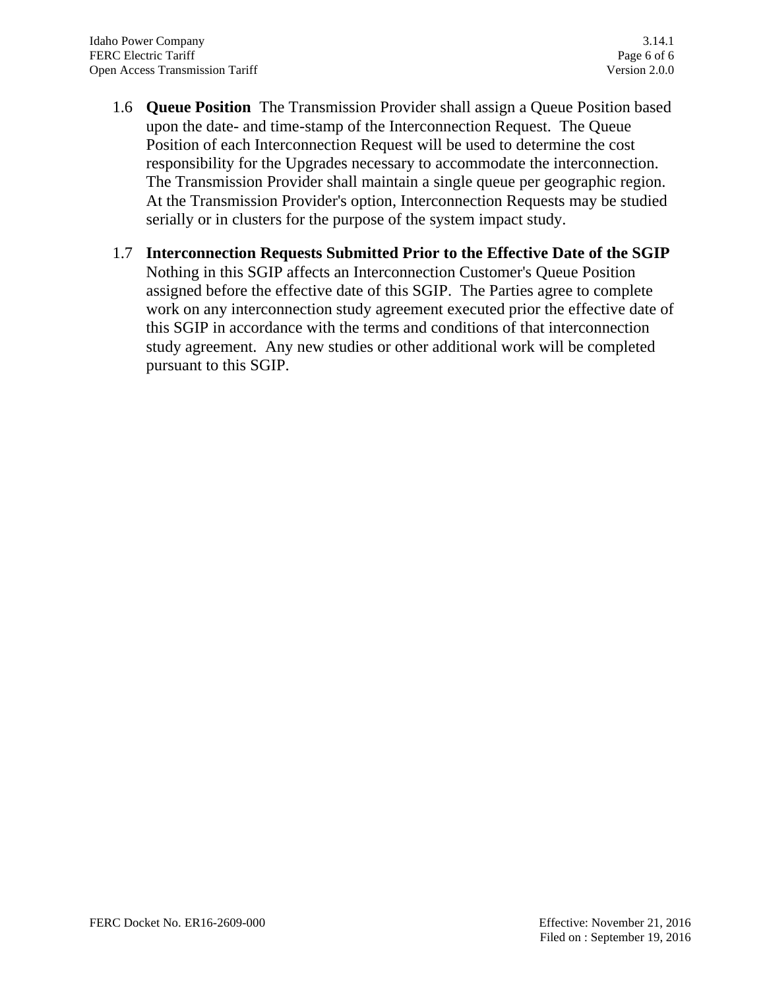- 1.6 **Queue Position** The Transmission Provider shall assign a Queue Position based upon the date- and time-stamp of the Interconnection Request. The Queue Position of each Interconnection Request will be used to determine the cost responsibility for the Upgrades necessary to accommodate the interconnection. The Transmission Provider shall maintain a single queue per geographic region. At the Transmission Provider's option, Interconnection Requests may be studied serially or in clusters for the purpose of the system impact study.
- 1.7 **Interconnection Requests Submitted Prior to the Effective Date of the SGIP** Nothing in this SGIP affects an Interconnection Customer's Queue Position assigned before the effective date of this SGIP. The Parties agree to complete work on any interconnection study agreement executed prior the effective date of this SGIP in accordance with the terms and conditions of that interconnection study agreement. Any new studies or other additional work will be completed pursuant to this SGIP.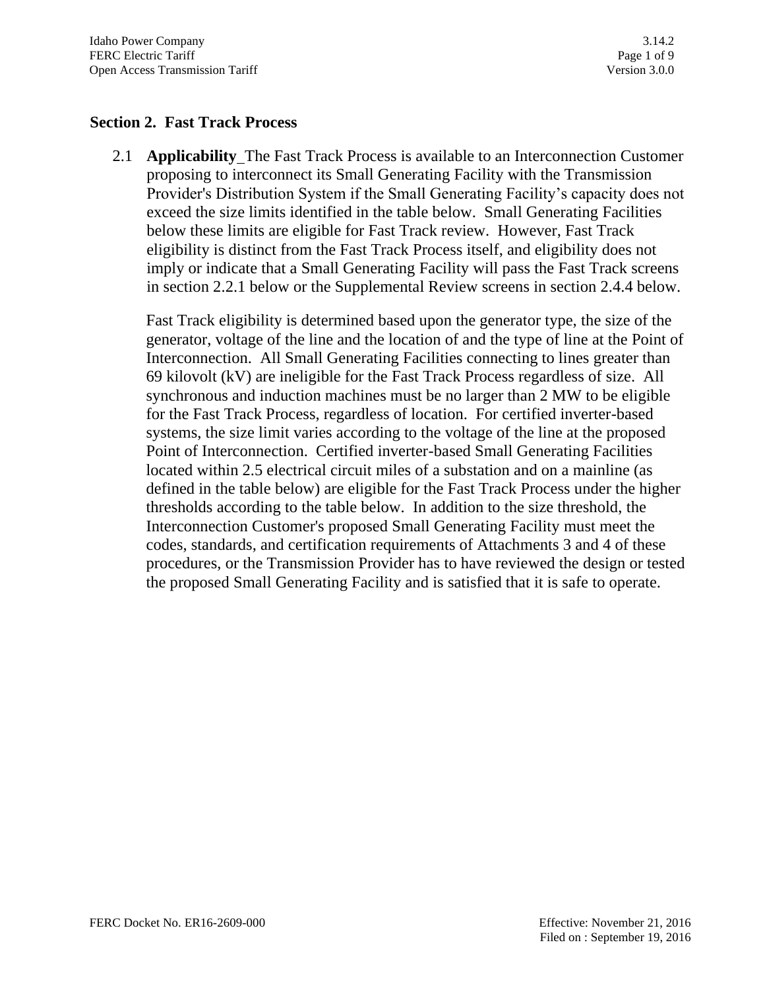#### **Section 2. Fast Track Process**

2.1 **Applicability** The Fast Track Process is available to an Interconnection Customer proposing to interconnect its Small Generating Facility with the Transmission Provider's Distribution System if the Small Generating Facility's capacity does not exceed the size limits identified in the table below. Small Generating Facilities below these limits are eligible for Fast Track review. However, Fast Track eligibility is distinct from the Fast Track Process itself, and eligibility does not imply or indicate that a Small Generating Facility will pass the Fast Track screens in section 2.2.1 below or the Supplemental Review screens in section 2.4.4 below.

Fast Track eligibility is determined based upon the generator type, the size of the generator, voltage of the line and the location of and the type of line at the Point of Interconnection. All Small Generating Facilities connecting to lines greater than 69 kilovolt (kV) are ineligible for the Fast Track Process regardless of size. All synchronous and induction machines must be no larger than 2 MW to be eligible for the Fast Track Process, regardless of location. For certified inverter-based systems, the size limit varies according to the voltage of the line at the proposed Point of Interconnection. Certified inverter-based Small Generating Facilities located within 2.5 electrical circuit miles of a substation and on a mainline (as defined in the table below) are eligible for the Fast Track Process under the higher thresholds according to the table below. In addition to the size threshold, the Interconnection Customer's proposed Small Generating Facility must meet the codes, standards, and certification requirements of Attachments 3 and 4 of these procedures, or the Transmission Provider has to have reviewed the design or tested the proposed Small Generating Facility and is satisfied that it is safe to operate.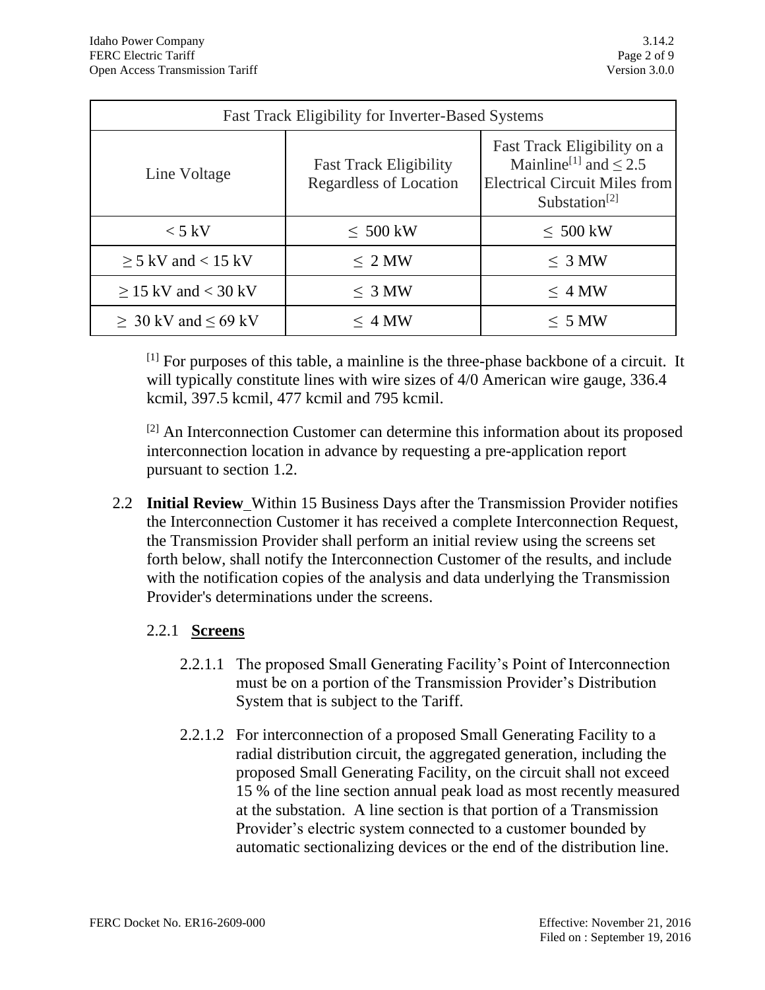| <b>Fast Track Eligibility for Inverter-Based Systems</b> |                                                                |                                                                                                                                            |  |
|----------------------------------------------------------|----------------------------------------------------------------|--------------------------------------------------------------------------------------------------------------------------------------------|--|
| Line Voltage                                             | <b>Fast Track Eligibility</b><br><b>Regardless of Location</b> | Fast Track Eligibility on a<br>Mainline <sup>[1]</sup> and $\leq$ 2.5<br><b>Electrical Circuit Miles from</b><br>Substation <sup>[2]</sup> |  |
| $< 5$ kV                                                 | $\leq 500$ kW                                                  | $\leq 500$ kW                                                                                                                              |  |
| $\geq$ 5 kV and < 15 kV                                  | $\leq 2$ MW                                                    | $\leq 3$ MW                                                                                                                                |  |
| $\geq$ 15 kV and < 30 kV                                 | $\leq 3$ MW                                                    | $\leq$ 4 MW                                                                                                                                |  |
| $\geq 30$ kV and $\leq 69$ kV                            | $\leq 4$ MW                                                    | $\leq 5$ MW                                                                                                                                |  |

[1] For purposes of this table, a mainline is the three-phase backbone of a circuit. It will typically constitute lines with wire sizes of 4/0 American wire gauge, 336.4 kcmil, 397.5 kcmil, 477 kcmil and 795 kcmil.

[2] An Interconnection Customer can determine this information about its proposed interconnection location in advance by requesting a pre-application report pursuant to section 1.2.

2.2 **Initial Review** Within 15 Business Days after the Transmission Provider notifies the Interconnection Customer it has received a complete Interconnection Request, the Transmission Provider shall perform an initial review using the screens set forth below, shall notify the Interconnection Customer of the results, and include with the notification copies of the analysis and data underlying the Transmission Provider's determinations under the screens.

## 2.2.1 **Screens**

- 2.2.1.1 The proposed Small Generating Facility's Point of Interconnection must be on a portion of the Transmission Provider's Distribution System that is subject to the Tariff.
- 2.2.1.2 For interconnection of a proposed Small Generating Facility to a radial distribution circuit, the aggregated generation, including the proposed Small Generating Facility, on the circuit shall not exceed 15 % of the line section annual peak load as most recently measured at the substation. A line section is that portion of a Transmission Provider's electric system connected to a customer bounded by automatic sectionalizing devices or the end of the distribution line.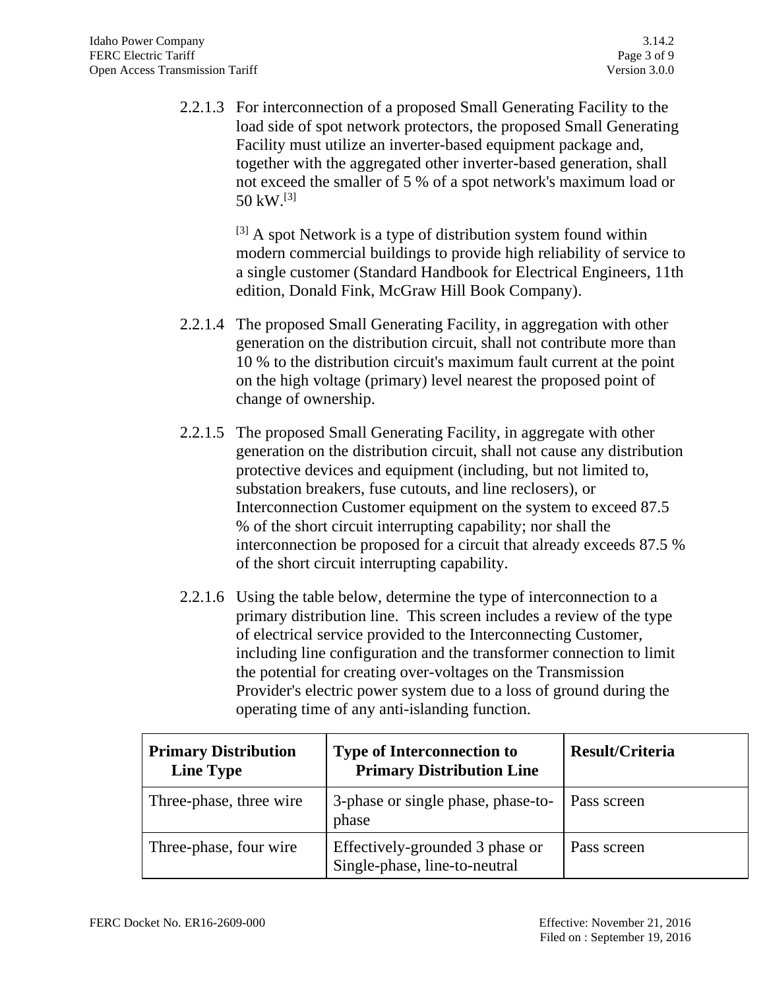2.2.1.3 For interconnection of a proposed Small Generating Facility to the load side of spot network protectors, the proposed Small Generating Facility must utilize an inverter-based equipment package and, together with the aggregated other inverter-based generation, shall not exceed the smaller of 5 % of a spot network's maximum load or 50 kW. [3]

> $[3]$  A spot Network is a type of distribution system found within modern commercial buildings to provide high reliability of service to a single customer (Standard Handbook for Electrical Engineers, 11th edition, Donald Fink, McGraw Hill Book Company).

- 2.2.1.4 The proposed Small Generating Facility, in aggregation with other generation on the distribution circuit, shall not contribute more than 10 % to the distribution circuit's maximum fault current at the point on the high voltage (primary) level nearest the proposed point of change of ownership.
- 2.2.1.5 The proposed Small Generating Facility, in aggregate with other generation on the distribution circuit, shall not cause any distribution protective devices and equipment (including, but not limited to, substation breakers, fuse cutouts, and line reclosers), or Interconnection Customer equipment on the system to exceed 87.5 % of the short circuit interrupting capability; nor shall the interconnection be proposed for a circuit that already exceeds 87.5 % of the short circuit interrupting capability.
- 2.2.1.6 Using the table below, determine the type of interconnection to a primary distribution line. This screen includes a review of the type of electrical service provided to the Interconnecting Customer, including line configuration and the transformer connection to limit the potential for creating over-voltages on the Transmission Provider's electric power system due to a loss of ground during the operating time of any anti-islanding function.

| <b>Primary Distribution</b><br><b>Line Type</b> | <b>Type of Interconnection to</b><br><b>Primary Distribution Line</b> | Result/Criteria    |
|-------------------------------------------------|-----------------------------------------------------------------------|--------------------|
| Three-phase, three wire                         | 3-phase or single phase, phase-to-<br>phase                           | <b>Pass screen</b> |
| Three-phase, four wire                          | Effectively-grounded 3 phase or<br>Single-phase, line-to-neutral      | Pass screen        |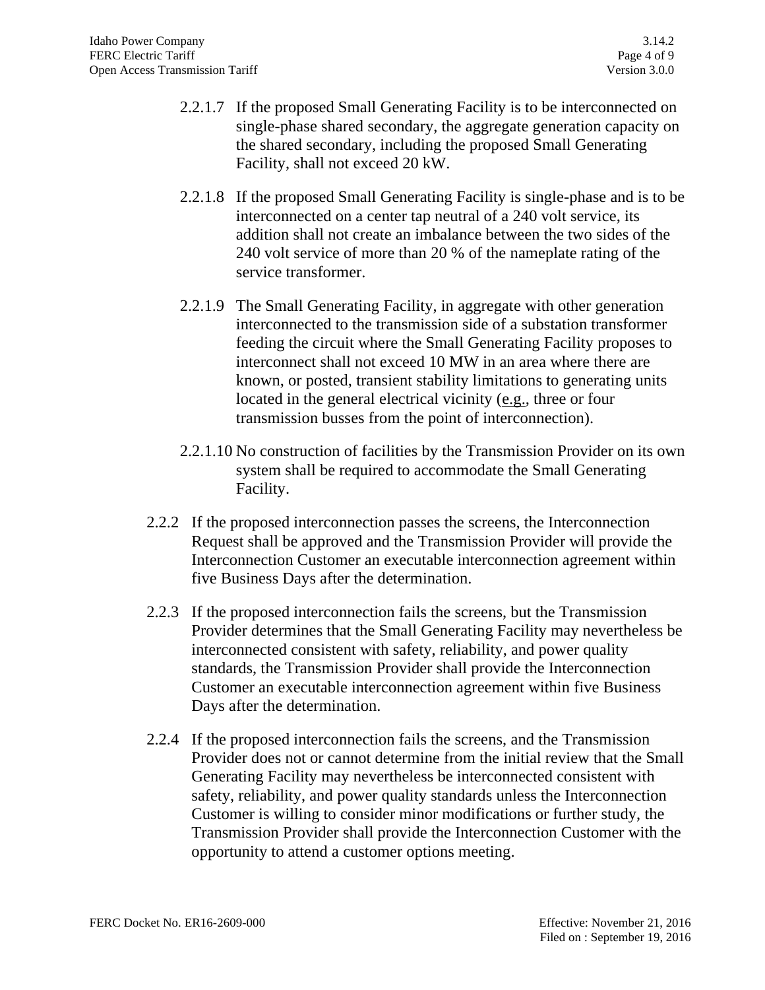- 2.2.1.7 If the proposed Small Generating Facility is to be interconnected on single-phase shared secondary, the aggregate generation capacity on the shared secondary, including the proposed Small Generating Facility, shall not exceed 20 kW.
- 2.2.1.8 If the proposed Small Generating Facility is single-phase and is to be interconnected on a center tap neutral of a 240 volt service, its addition shall not create an imbalance between the two sides of the 240 volt service of more than 20 % of the nameplate rating of the service transformer.
- 2.2.1.9 The Small Generating Facility, in aggregate with other generation interconnected to the transmission side of a substation transformer feeding the circuit where the Small Generating Facility proposes to interconnect shall not exceed 10 MW in an area where there are known, or posted, transient stability limitations to generating units located in the general electrical vicinity (e.g., three or four transmission busses from the point of interconnection).
- 2.2.1.10 No construction of facilities by the Transmission Provider on its own system shall be required to accommodate the Small Generating Facility.
- 2.2.2 If the proposed interconnection passes the screens, the Interconnection Request shall be approved and the Transmission Provider will provide the Interconnection Customer an executable interconnection agreement within five Business Days after the determination.
- 2.2.3 If the proposed interconnection fails the screens, but the Transmission Provider determines that the Small Generating Facility may nevertheless be interconnected consistent with safety, reliability, and power quality standards, the Transmission Provider shall provide the Interconnection Customer an executable interconnection agreement within five Business Days after the determination.
- 2.2.4 If the proposed interconnection fails the screens, and the Transmission Provider does not or cannot determine from the initial review that the Small Generating Facility may nevertheless be interconnected consistent with safety, reliability, and power quality standards unless the Interconnection Customer is willing to consider minor modifications or further study, the Transmission Provider shall provide the Interconnection Customer with the opportunity to attend a customer options meeting.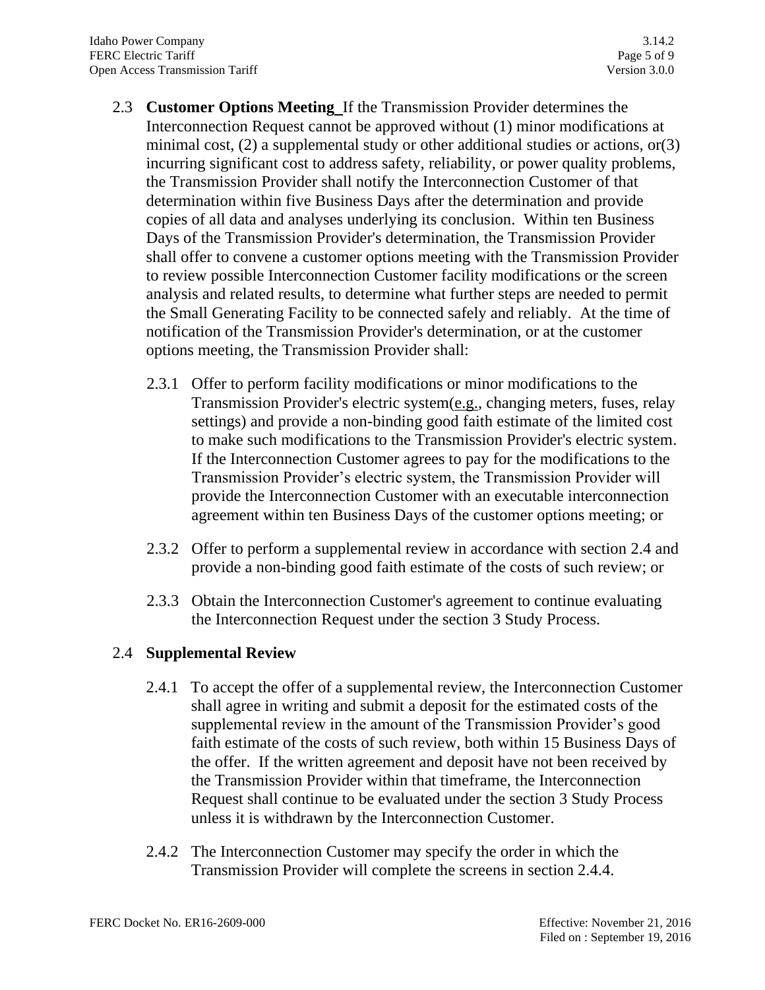- 2.3 **Customer Options Meeting** If the Transmission Provider determines the Interconnection Request cannot be approved without (1) minor modifications at minimal cost, (2) a supplemental study or other additional studies or actions, or(3) incurring significant cost to address safety, reliability, or power quality problems, the Transmission Provider shall notify the Interconnection Customer of that determination within five Business Days after the determination and provide copies of all data and analyses underlying its conclusion. Within ten Business Days of the Transmission Provider's determination, the Transmission Provider shall offer to convene a customer options meeting with the Transmission Provider to review possible Interconnection Customer facility modifications or the screen analysis and related results, to determine what further steps are needed to permit the Small Generating Facility to be connected safely and reliably. At the time of notification of the Transmission Provider's determination, or at the customer options meeting, the Transmission Provider shall:
	- 2.3.1 Offer to perform facility modifications or minor modifications to the Transmission Provider's electric system(e.g., changing meters, fuses, relay settings) and provide a non-binding good faith estimate of the limited cost to make such modifications to the Transmission Provider's electric system. If the Interconnection Customer agrees to pay for the modifications to the Transmission Provider's electric system, the Transmission Provider will provide the Interconnection Customer with an executable interconnection agreement within ten Business Days of the customer options meeting; or
	- 2.3.2 Offer to perform a supplemental review in accordance with section 2.4 and provide a non-binding good faith estimate of the costs of such review; or
	- 2.3.3 Obtain the Interconnection Customer's agreement to continue evaluating the Interconnection Request under the section 3 Study Process.

# 2.4 **Supplemental Review**

- 2.4.1 To accept the offer of a supplemental review, the Interconnection Customer shall agree in writing and submit a deposit for the estimated costs of the supplemental review in the amount of the Transmission Provider's good faith estimate of the costs of such review, both within 15 Business Days of the offer. If the written agreement and deposit have not been received by the Transmission Provider within that timeframe, the Interconnection Request shall continue to be evaluated under the section 3 Study Process unless it is withdrawn by the Interconnection Customer.
- 2.4.2 The Interconnection Customer may specify the order in which the Transmission Provider will complete the screens in section 2.4.4.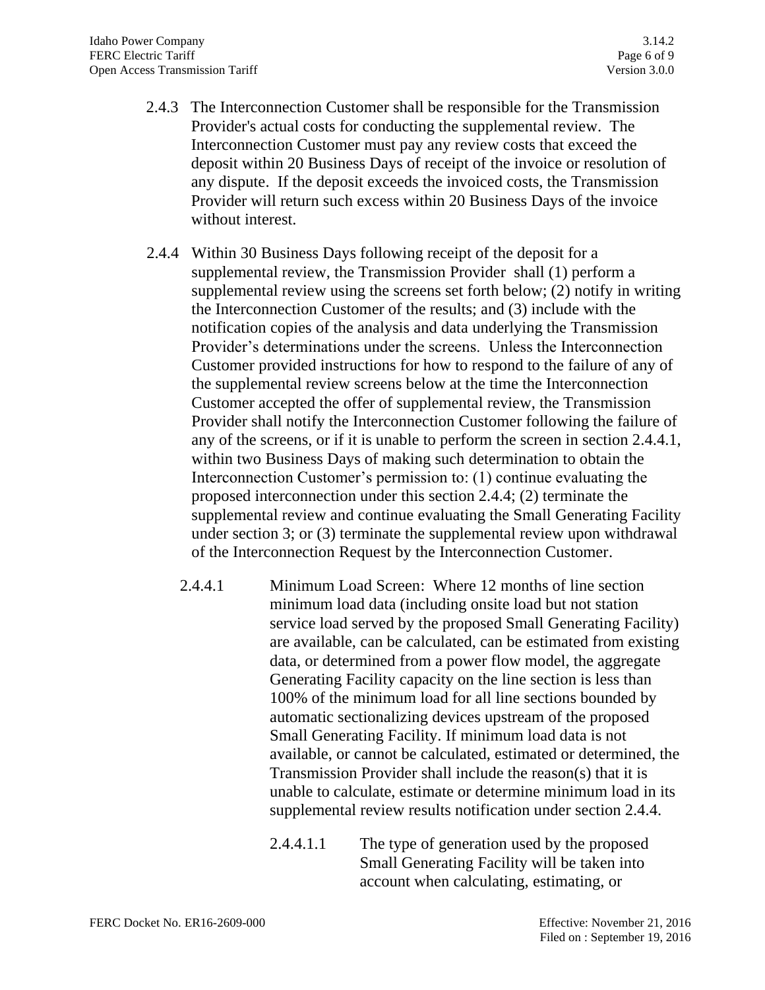- 2.4.3 The Interconnection Customer shall be responsible for the Transmission Provider's actual costs for conducting the supplemental review. The Interconnection Customer must pay any review costs that exceed the deposit within 20 Business Days of receipt of the invoice or resolution of any dispute. If the deposit exceeds the invoiced costs, the Transmission Provider will return such excess within 20 Business Days of the invoice without interest.
- 2.4.4 Within 30 Business Days following receipt of the deposit for a supplemental review, the Transmission Provider shall (1) perform a supplemental review using the screens set forth below; (2) notify in writing the Interconnection Customer of the results; and (3) include with the notification copies of the analysis and data underlying the Transmission Provider's determinations under the screens. Unless the Interconnection Customer provided instructions for how to respond to the failure of any of the supplemental review screens below at the time the Interconnection Customer accepted the offer of supplemental review, the Transmission Provider shall notify the Interconnection Customer following the failure of any of the screens, or if it is unable to perform the screen in section 2.4.4.1, within two Business Days of making such determination to obtain the Interconnection Customer's permission to: (1) continue evaluating the proposed interconnection under this section 2.4.4; (2) terminate the supplemental review and continue evaluating the Small Generating Facility under section 3; or (3) terminate the supplemental review upon withdrawal of the Interconnection Request by the Interconnection Customer.
	- 2.4.4.1 Minimum Load Screen: Where 12 months of line section minimum load data (including onsite load but not station service load served by the proposed Small Generating Facility) are available, can be calculated, can be estimated from existing data, or determined from a power flow model, the aggregate Generating Facility capacity on the line section is less than 100% of the minimum load for all line sections bounded by automatic sectionalizing devices upstream of the proposed Small Generating Facility. If minimum load data is not available, or cannot be calculated, estimated or determined, the Transmission Provider shall include the reason(s) that it is unable to calculate, estimate or determine minimum load in its supplemental review results notification under section 2.4.4.
		- 2.4.4.1.1 The type of generation used by the proposed Small Generating Facility will be taken into account when calculating, estimating, or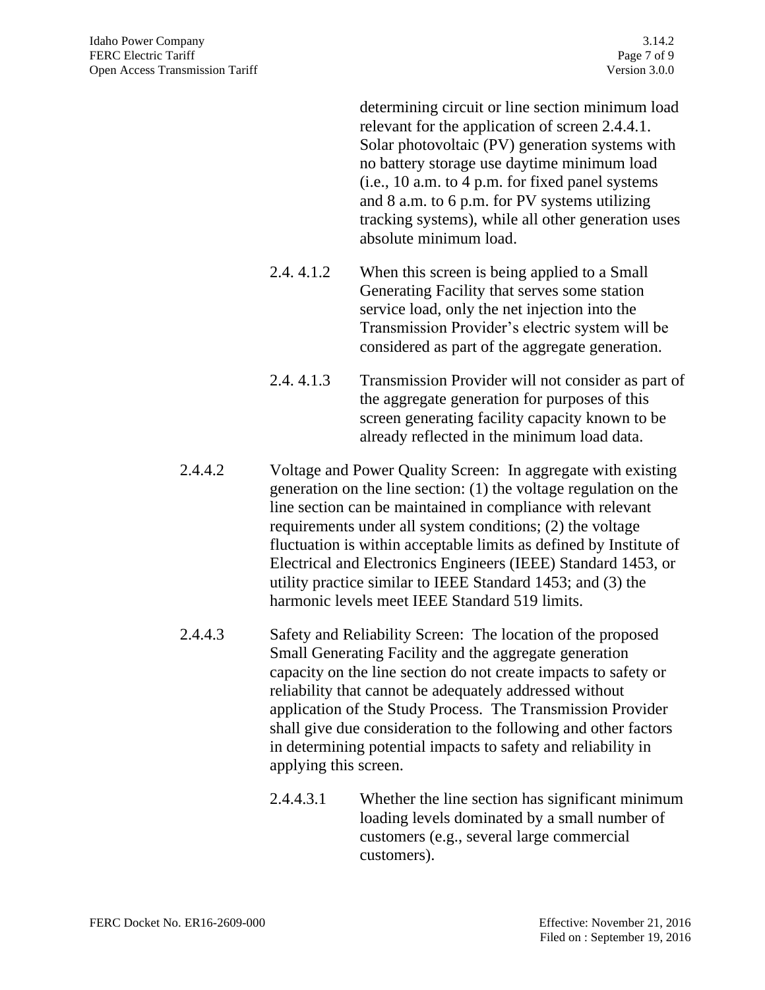determining circuit or line section minimum load relevant for the application of screen 2.4.4.1. Solar photovoltaic (PV) generation systems with no battery storage use daytime minimum load (i.e., 10 a.m. to 4 p.m. for fixed panel systems and 8 a.m. to 6 p.m. for PV systems utilizing tracking systems), while all other generation uses absolute minimum load.

- 2.4. 4.1.2 When this screen is being applied to a Small Generating Facility that serves some station service load, only the net injection into the Transmission Provider's electric system will be considered as part of the aggregate generation.
- 2.4. 4.1.3 Transmission Provider will not consider as part of the aggregate generation for purposes of this screen generating facility capacity known to be already reflected in the minimum load data.
- 2.4.4.2 Voltage and Power Quality Screen: In aggregate with existing generation on the line section: (1) the voltage regulation on the line section can be maintained in compliance with relevant requirements under all system conditions; (2) the voltage fluctuation is within acceptable limits as defined by Institute of Electrical and Electronics Engineers (IEEE) Standard 1453, or utility practice similar to IEEE Standard 1453; and (3) the harmonic levels meet IEEE Standard 519 limits.
- 2.4.4.3 Safety and Reliability Screen: The location of the proposed Small Generating Facility and the aggregate generation capacity on the line section do not create impacts to safety or reliability that cannot be adequately addressed without application of the Study Process. The Transmission Provider shall give due consideration to the following and other factors in determining potential impacts to safety and reliability in applying this screen.
	- 2.4.4.3.1 Whether the line section has significant minimum loading levels dominated by a small number of customers (e.g., several large commercial customers).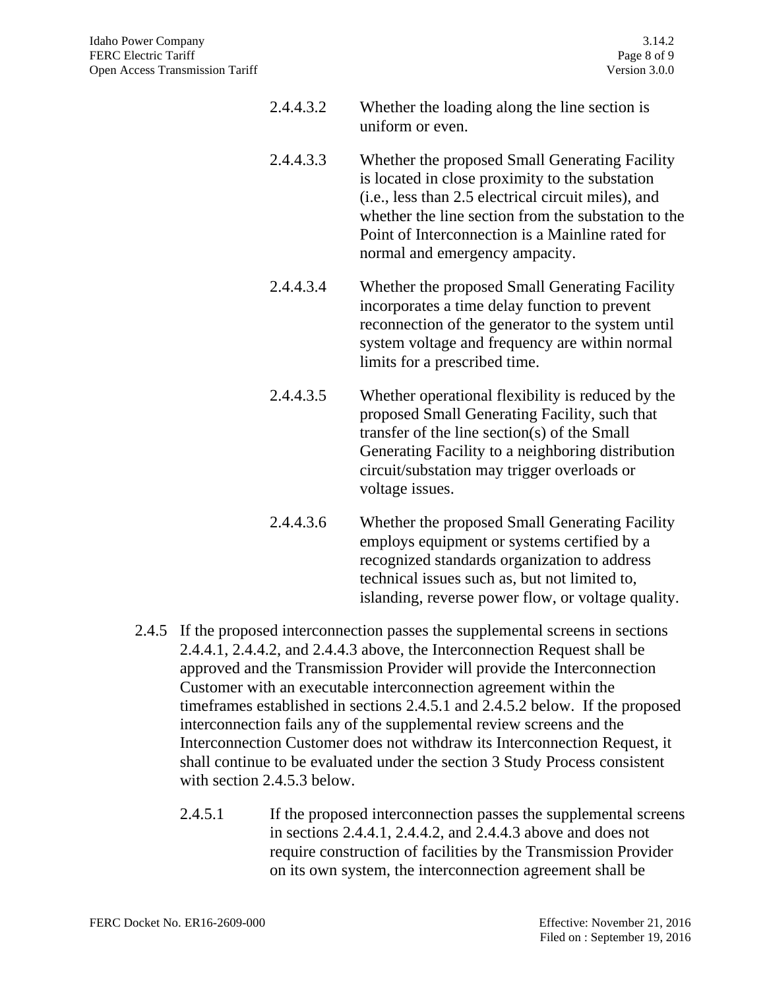| 2.4.4.3.2 | Whether the loading along the line section is |
|-----------|-----------------------------------------------|
|           | uniform or even.                              |

- 2.4.4.3.3 Whether the proposed Small Generating Facility is located in close proximity to the substation (i.e., less than 2.5 electrical circuit miles), and whether the line section from the substation to the Point of Interconnection is a Mainline rated for normal and emergency ampacity.
- 2.4.4.3.4 Whether the proposed Small Generating Facility incorporates a time delay function to prevent reconnection of the generator to the system until system voltage and frequency are within normal limits for a prescribed time.
- 2.4.4.3.5 Whether operational flexibility is reduced by the proposed Small Generating Facility, such that transfer of the line section(s) of the Small Generating Facility to a neighboring distribution circuit/substation may trigger overloads or voltage issues.
- 2.4.4.3.6 Whether the proposed Small Generating Facility employs equipment or systems certified by a recognized standards organization to address technical issues such as, but not limited to, islanding, reverse power flow, or voltage quality.
- 2.4.5 If the proposed interconnection passes the supplemental screens in sections 2.4.4.1, 2.4.4.2, and 2.4.4.3 above, the Interconnection Request shall be approved and the Transmission Provider will provide the Interconnection Customer with an executable interconnection agreement within the timeframes established in sections 2.4.5.1 and 2.4.5.2 below. If the proposed interconnection fails any of the supplemental review screens and the Interconnection Customer does not withdraw its Interconnection Request, it shall continue to be evaluated under the section 3 Study Process consistent with section 2.4.5.3 below.
	- 2.4.5.1 If the proposed interconnection passes the supplemental screens in sections 2.4.4.1, 2.4.4.2, and 2.4.4.3 above and does not require construction of facilities by the Transmission Provider on its own system, the interconnection agreement shall be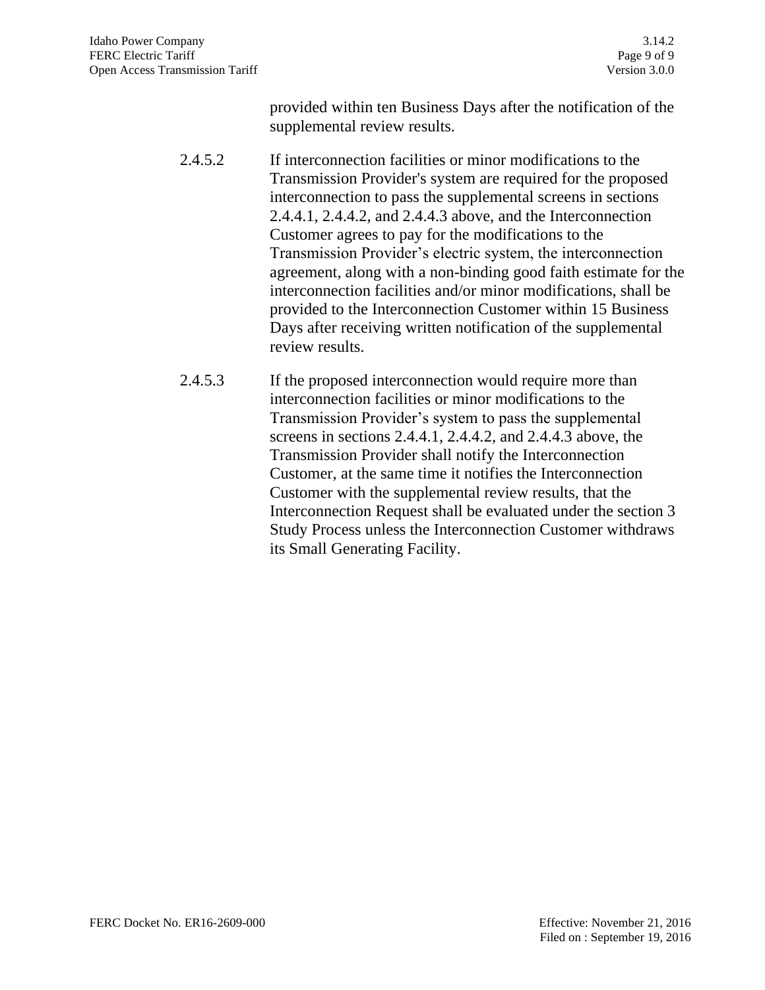provided within ten Business Days after the notification of the supplemental review results.

- 2.4.5.2 If interconnection facilities or minor modifications to the Transmission Provider's system are required for the proposed interconnection to pass the supplemental screens in sections 2.4.4.1, 2.4.4.2, and 2.4.4.3 above, and the Interconnection Customer agrees to pay for the modifications to the Transmission Provider's electric system, the interconnection agreement, along with a non-binding good faith estimate for the interconnection facilities and/or minor modifications, shall be provided to the Interconnection Customer within 15 Business Days after receiving written notification of the supplemental review results.
- 2.4.5.3 If the proposed interconnection would require more than interconnection facilities or minor modifications to the Transmission Provider's system to pass the supplemental screens in sections 2.4.4.1, 2.4.4.2, and 2.4.4.3 above, the Transmission Provider shall notify the Interconnection Customer, at the same time it notifies the Interconnection Customer with the supplemental review results, that the Interconnection Request shall be evaluated under the section 3 Study Process unless the Interconnection Customer withdraws its Small Generating Facility.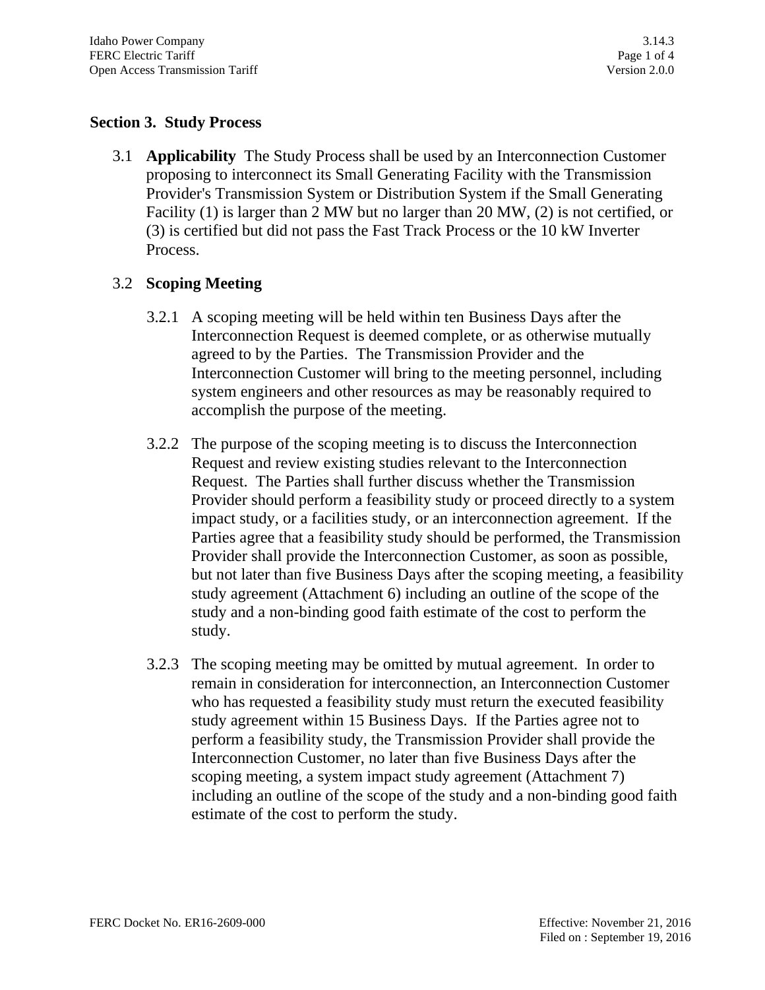## **Section 3. Study Process**

3.1 **Applicability** The Study Process shall be used by an Interconnection Customer proposing to interconnect its Small Generating Facility with the Transmission Provider's Transmission System or Distribution System if the Small Generating Facility (1) is larger than 2 MW but no larger than 20 MW, (2) is not certified, or (3) is certified but did not pass the Fast Track Process or the 10 kW Inverter Process.

## 3.2 **Scoping Meeting**

- 3.2.1 A scoping meeting will be held within ten Business Days after the Interconnection Request is deemed complete, or as otherwise mutually agreed to by the Parties. The Transmission Provider and the Interconnection Customer will bring to the meeting personnel, including system engineers and other resources as may be reasonably required to accomplish the purpose of the meeting.
- 3.2.2 The purpose of the scoping meeting is to discuss the Interconnection Request and review existing studies relevant to the Interconnection Request. The Parties shall further discuss whether the Transmission Provider should perform a feasibility study or proceed directly to a system impact study, or a facilities study, or an interconnection agreement. If the Parties agree that a feasibility study should be performed, the Transmission Provider shall provide the Interconnection Customer, as soon as possible, but not later than five Business Days after the scoping meeting, a feasibility study agreement (Attachment 6) including an outline of the scope of the study and a non-binding good faith estimate of the cost to perform the study.
- 3.2.3 The scoping meeting may be omitted by mutual agreement. In order to remain in consideration for interconnection, an Interconnection Customer who has requested a feasibility study must return the executed feasibility study agreement within 15 Business Days. If the Parties agree not to perform a feasibility study, the Transmission Provider shall provide the Interconnection Customer, no later than five Business Days after the scoping meeting, a system impact study agreement (Attachment 7) including an outline of the scope of the study and a non-binding good faith estimate of the cost to perform the study.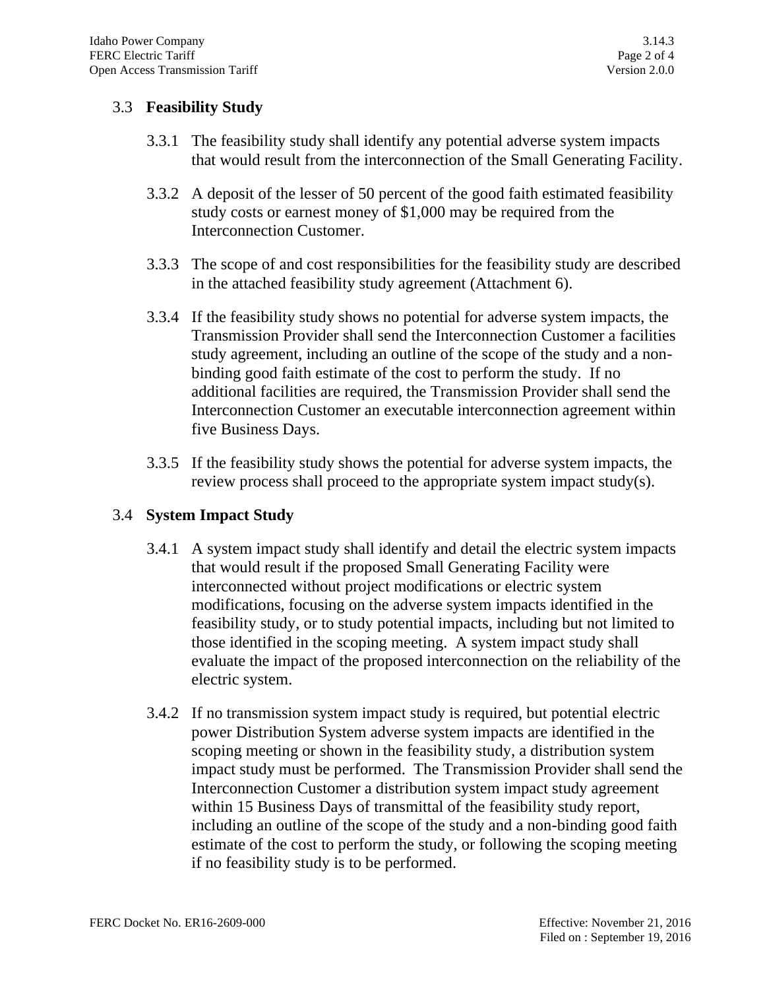## 3.3 **Feasibility Study**

- 3.3.1 The feasibility study shall identify any potential adverse system impacts that would result from the interconnection of the Small Generating Facility.
- 3.3.2 A deposit of the lesser of 50 percent of the good faith estimated feasibility study costs or earnest money of \$1,000 may be required from the Interconnection Customer.
- 3.3.3 The scope of and cost responsibilities for the feasibility study are described in the attached feasibility study agreement (Attachment 6).
- 3.3.4 If the feasibility study shows no potential for adverse system impacts, the Transmission Provider shall send the Interconnection Customer a facilities study agreement, including an outline of the scope of the study and a nonbinding good faith estimate of the cost to perform the study. If no additional facilities are required, the Transmission Provider shall send the Interconnection Customer an executable interconnection agreement within five Business Days.
- 3.3.5 If the feasibility study shows the potential for adverse system impacts, the review process shall proceed to the appropriate system impact study(s).

#### 3.4 **System Impact Study**

- 3.4.1 A system impact study shall identify and detail the electric system impacts that would result if the proposed Small Generating Facility were interconnected without project modifications or electric system modifications, focusing on the adverse system impacts identified in the feasibility study, or to study potential impacts, including but not limited to those identified in the scoping meeting. A system impact study shall evaluate the impact of the proposed interconnection on the reliability of the electric system.
- 3.4.2 If no transmission system impact study is required, but potential electric power Distribution System adverse system impacts are identified in the scoping meeting or shown in the feasibility study, a distribution system impact study must be performed. The Transmission Provider shall send the Interconnection Customer a distribution system impact study agreement within 15 Business Days of transmittal of the feasibility study report, including an outline of the scope of the study and a non-binding good faith estimate of the cost to perform the study, or following the scoping meeting if no feasibility study is to be performed.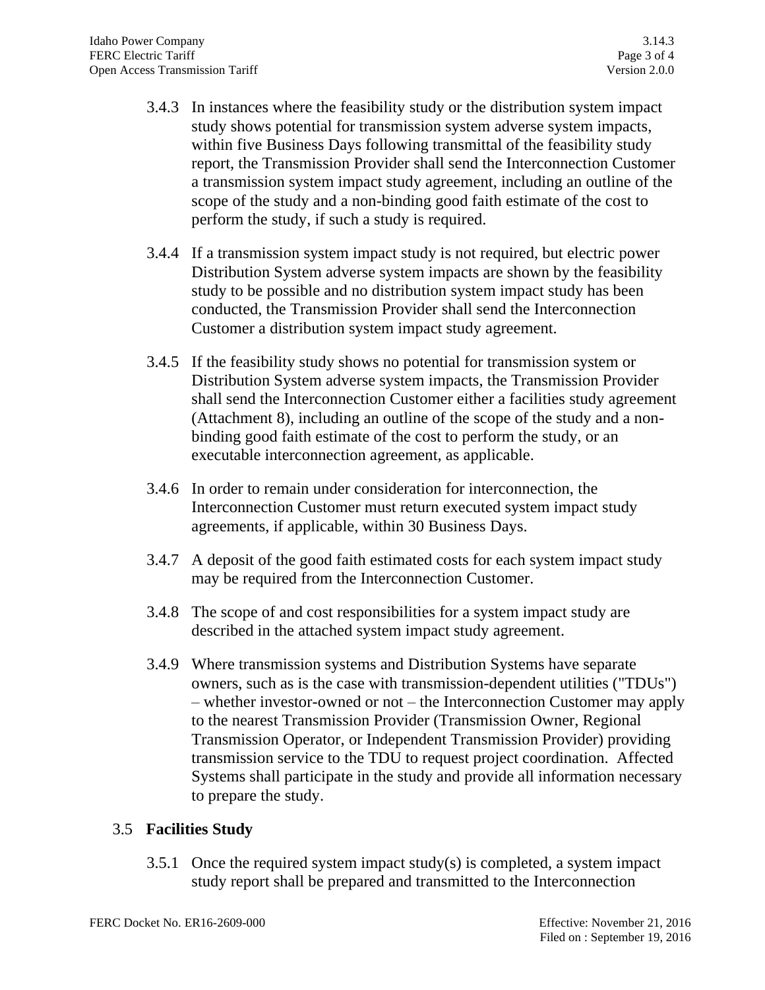- 3.4.3 In instances where the feasibility study or the distribution system impact study shows potential for transmission system adverse system impacts, within five Business Days following transmittal of the feasibility study report, the Transmission Provider shall send the Interconnection Customer a transmission system impact study agreement, including an outline of the scope of the study and a non-binding good faith estimate of the cost to perform the study, if such a study is required.
- 3.4.4 If a transmission system impact study is not required, but electric power Distribution System adverse system impacts are shown by the feasibility study to be possible and no distribution system impact study has been conducted, the Transmission Provider shall send the Interconnection Customer a distribution system impact study agreement.
- 3.4.5 If the feasibility study shows no potential for transmission system or Distribution System adverse system impacts, the Transmission Provider shall send the Interconnection Customer either a facilities study agreement (Attachment 8), including an outline of the scope of the study and a nonbinding good faith estimate of the cost to perform the study, or an executable interconnection agreement, as applicable.
- 3.4.6 In order to remain under consideration for interconnection, the Interconnection Customer must return executed system impact study agreements, if applicable, within 30 Business Days.
- 3.4.7 A deposit of the good faith estimated costs for each system impact study may be required from the Interconnection Customer.
- 3.4.8 The scope of and cost responsibilities for a system impact study are described in the attached system impact study agreement.
- 3.4.9 Where transmission systems and Distribution Systems have separate owners, such as is the case with transmission-dependent utilities ("TDUs") – whether investor-owned or not – the Interconnection Customer may apply to the nearest Transmission Provider (Transmission Owner, Regional Transmission Operator, or Independent Transmission Provider) providing transmission service to the TDU to request project coordination. Affected Systems shall participate in the study and provide all information necessary to prepare the study.

## 3.5 **Facilities Study**

3.5.1 Once the required system impact study(s) is completed, a system impact study report shall be prepared and transmitted to the Interconnection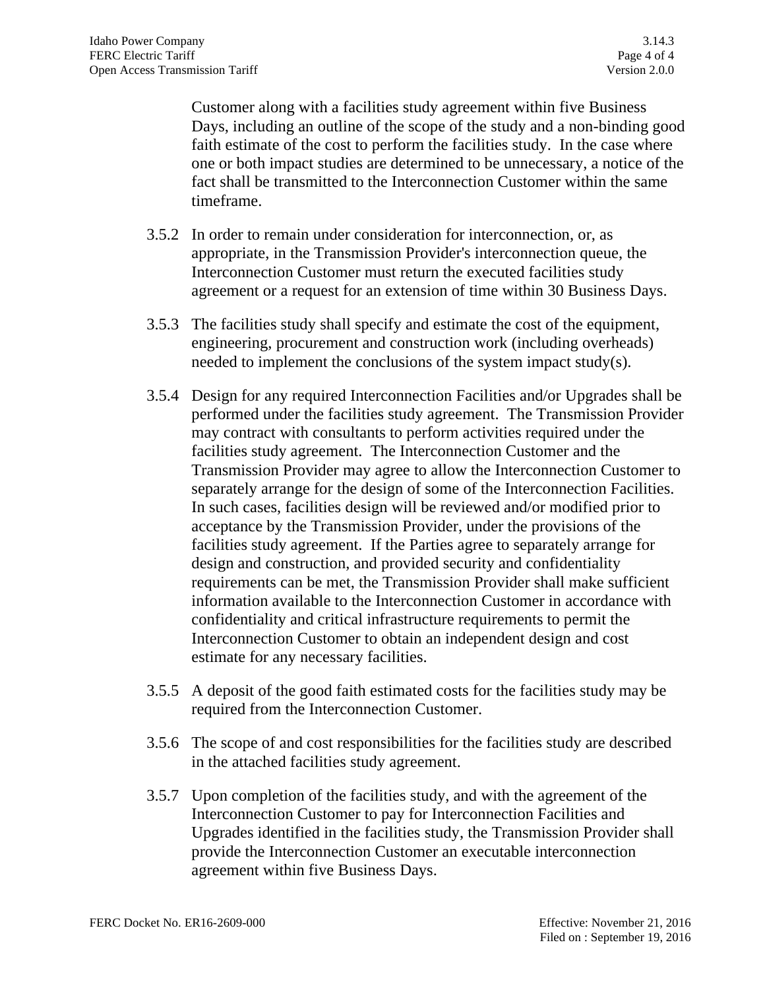Customer along with a facilities study agreement within five Business Days, including an outline of the scope of the study and a non-binding good faith estimate of the cost to perform the facilities study. In the case where one or both impact studies are determined to be unnecessary, a notice of the fact shall be transmitted to the Interconnection Customer within the same timeframe.

- 3.5.2 In order to remain under consideration for interconnection, or, as appropriate, in the Transmission Provider's interconnection queue, the Interconnection Customer must return the executed facilities study agreement or a request for an extension of time within 30 Business Days.
- 3.5.3 The facilities study shall specify and estimate the cost of the equipment, engineering, procurement and construction work (including overheads) needed to implement the conclusions of the system impact study(s).
- 3.5.4 Design for any required Interconnection Facilities and/or Upgrades shall be performed under the facilities study agreement. The Transmission Provider may contract with consultants to perform activities required under the facilities study agreement. The Interconnection Customer and the Transmission Provider may agree to allow the Interconnection Customer to separately arrange for the design of some of the Interconnection Facilities. In such cases, facilities design will be reviewed and/or modified prior to acceptance by the Transmission Provider, under the provisions of the facilities study agreement. If the Parties agree to separately arrange for design and construction, and provided security and confidentiality requirements can be met, the Transmission Provider shall make sufficient information available to the Interconnection Customer in accordance with confidentiality and critical infrastructure requirements to permit the Interconnection Customer to obtain an independent design and cost estimate for any necessary facilities.
- 3.5.5 A deposit of the good faith estimated costs for the facilities study may be required from the Interconnection Customer.
- 3.5.6 The scope of and cost responsibilities for the facilities study are described in the attached facilities study agreement.
- 3.5.7 Upon completion of the facilities study, and with the agreement of the Interconnection Customer to pay for Interconnection Facilities and Upgrades identified in the facilities study, the Transmission Provider shall provide the Interconnection Customer an executable interconnection agreement within five Business Days.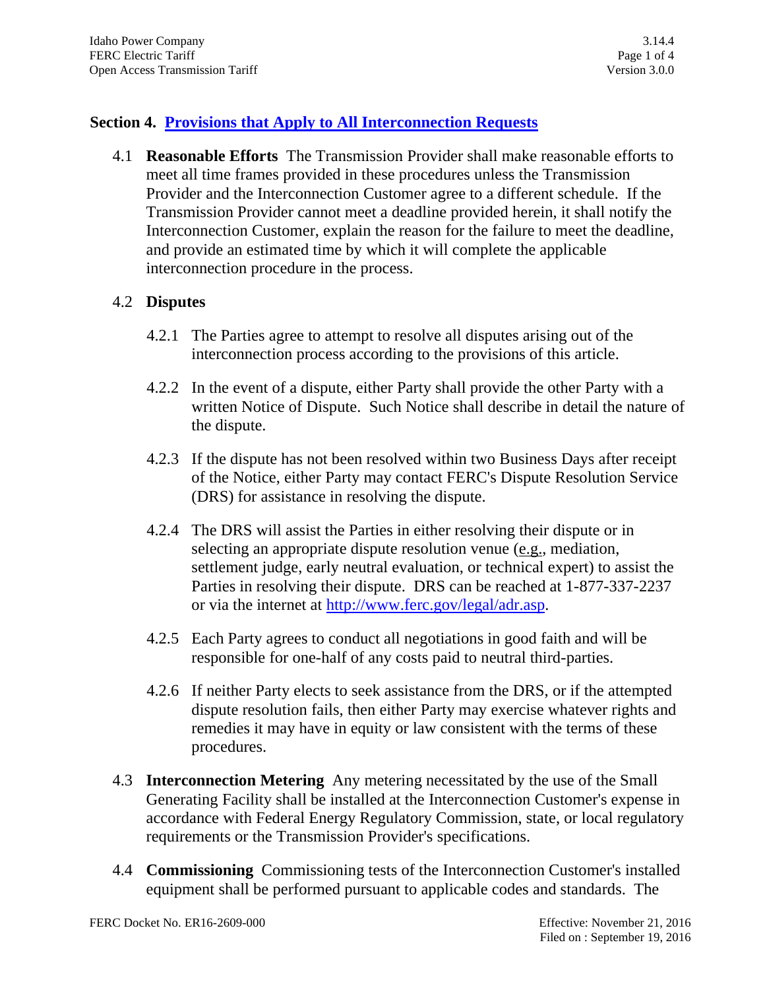# **Section 4. Provisions that Apply to All Interconnection Requests**

4.1 **Reasonable Efforts** The Transmission Provider shall make reasonable efforts to meet all time frames provided in these procedures unless the Transmission Provider and the Interconnection Customer agree to a different schedule. If the Transmission Provider cannot meet a deadline provided herein, it shall notify the Interconnection Customer, explain the reason for the failure to meet the deadline, and provide an estimated time by which it will complete the applicable interconnection procedure in the process.

### 4.2 **Disputes**

- 4.2.1 The Parties agree to attempt to resolve all disputes arising out of the interconnection process according to the provisions of this article.
- 4.2.2 In the event of a dispute, either Party shall provide the other Party with a written Notice of Dispute. Such Notice shall describe in detail the nature of the dispute.
- 4.2.3 If the dispute has not been resolved within two Business Days after receipt of the Notice, either Party may contact FERC's Dispute Resolution Service (DRS) for assistance in resolving the dispute.
- 4.2.4 The DRS will assist the Parties in either resolving their dispute or in selecting an appropriate dispute resolution venue (e.g., mediation, settlement judge, early neutral evaluation, or technical expert) to assist the Parties in resolving their dispute. DRS can be reached at 1-877-337-2237 or via the internet at [http://www.ferc.gov/legal/adr.asp.](http://www.ferc.gov/legal/adr.asp)
- 4.2.5 Each Party agrees to conduct all negotiations in good faith and will be responsible for one-half of any costs paid to neutral third-parties.
- 4.2.6 If neither Party elects to seek assistance from the DRS, or if the attempted dispute resolution fails, then either Party may exercise whatever rights and remedies it may have in equity or law consistent with the terms of these procedures.
- 4.3 **Interconnection Metering** Any metering necessitated by the use of the Small Generating Facility shall be installed at the Interconnection Customer's expense in accordance with Federal Energy Regulatory Commission, state, or local regulatory requirements or the Transmission Provider's specifications.
- 4.4 **Commissioning** Commissioning tests of the Interconnection Customer's installed equipment shall be performed pursuant to applicable codes and standards. The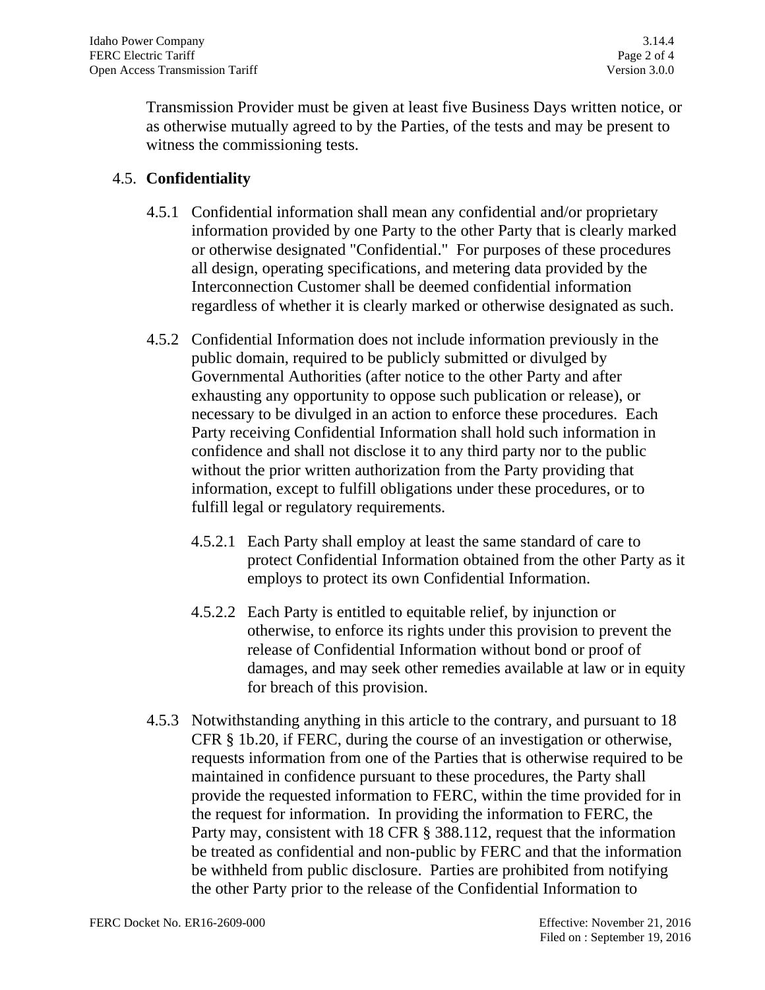Transmission Provider must be given at least five Business Days written notice, or as otherwise mutually agreed to by the Parties, of the tests and may be present to witness the commissioning tests.

### 4.5. **Confidentiality**

- 4.5.1 Confidential information shall mean any confidential and/or proprietary information provided by one Party to the other Party that is clearly marked or otherwise designated "Confidential." For purposes of these procedures all design, operating specifications*,* and metering data provided by the Interconnection Customer shall be deemed confidential information regardless of whether it is clearly marked or otherwise designated as such.
- 4.5.2 Confidential Information does not include information previously in the public domain, required to be publicly submitted or divulged by Governmental Authorities (after notice to the other Party and after exhausting any opportunity to oppose such publication or release), or necessary to be divulged in an action to enforce these procedures. Each Party receiving Confidential Information shall hold such information in confidence and shall not disclose it to any third party nor to the public without the prior written authorization from the Party providing that information, except to fulfill obligations under these procedures, or to fulfill legal or regulatory requirements.
	- 4.5.2.1 Each Party shall employ at least the same standard of care to protect Confidential Information obtained from the other Party as it employs to protect its own Confidential Information.
	- 4.5.2.2 Each Party is entitled to equitable relief, by injunction or otherwise, to enforce its rights under this provision to prevent the release of Confidential Information without bond or proof of damages, and may seek other remedies available at law or in equity for breach of this provision.
- 4.5.3 Notwithstanding anything in this article to the contrary, and pursuant to 18 CFR § 1b.20, if FERC, during the course of an investigation or otherwise, requests information from one of the Parties that is otherwise required to be maintained in confidence pursuant to these procedures, the Party shall provide the requested information to FERC, within the time provided for in the request for information. In providing the information to FERC, the Party may, consistent with 18 CFR § 388.112, request that the information be treated as confidential and non-public by FERC and that the information be withheld from public disclosure. Parties are prohibited from notifying the other Party prior to the release of the Confidential Information to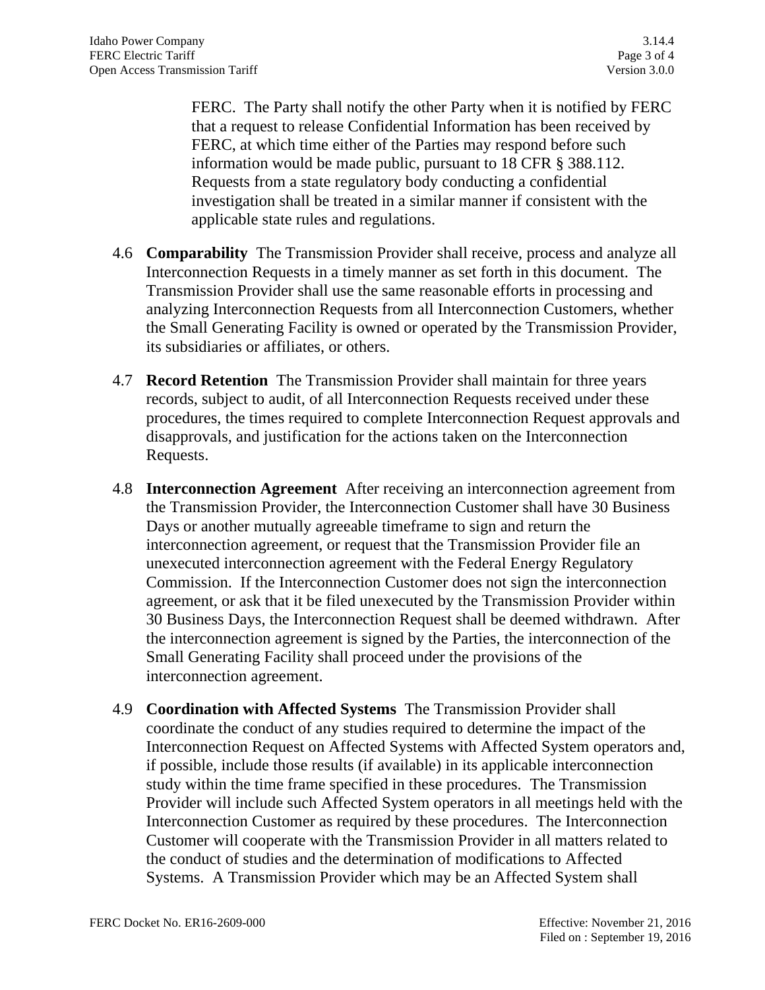FERC. The Party shall notify the other Party when it is notified by FERC that a request to release Confidential Information has been received by FERC, at which time either of the Parties may respond before such information would be made public, pursuant to 18 CFR § 388.112. Requests from a state regulatory body conducting a confidential investigation shall be treated in a similar manner if consistent with the applicable state rules and regulations.

- 4.6 **Comparability** The Transmission Provider shall receive, process and analyze all Interconnection Requests in a timely manner as set forth in this document. The Transmission Provider shall use the same reasonable efforts in processing and analyzing Interconnection Requests from all Interconnection Customers, whether the Small Generating Facility is owned or operated by the Transmission Provider, its subsidiaries or affiliates, or others.
- 4.7 **Record Retention** The Transmission Provider shall maintain for three years records, subject to audit, of all Interconnection Requests received under these procedures, the times required to complete Interconnection Request approvals and disapprovals, and justification for the actions taken on the Interconnection Requests.
- 4.8 **Interconnection Agreement** After receiving an interconnection agreement from the Transmission Provider, the Interconnection Customer shall have 30 Business Days or another mutually agreeable timeframe to sign and return the interconnection agreement, or request that the Transmission Provider file an unexecuted interconnection agreement with the Federal Energy Regulatory Commission. If the Interconnection Customer does not sign the interconnection agreement, or ask that it be filed unexecuted by the Transmission Provider within 30 Business Days, the Interconnection Request shall be deemed withdrawn. After the interconnection agreement is signed by the Parties, the interconnection of the Small Generating Facility shall proceed under the provisions of the interconnection agreement.
- 4.9 **Coordination with Affected Systems** The Transmission Provider shall coordinate the conduct of any studies required to determine the impact of the Interconnection Request on Affected Systems with Affected System operators and, if possible, include those results (if available) in its applicable interconnection study within the time frame specified in these procedures. The Transmission Provider will include such Affected System operators in all meetings held with the Interconnection Customer as required by these procedures. The Interconnection Customer will cooperate with the Transmission Provider in all matters related to the conduct of studies and the determination of modifications to Affected Systems. A Transmission Provider which may be an Affected System shall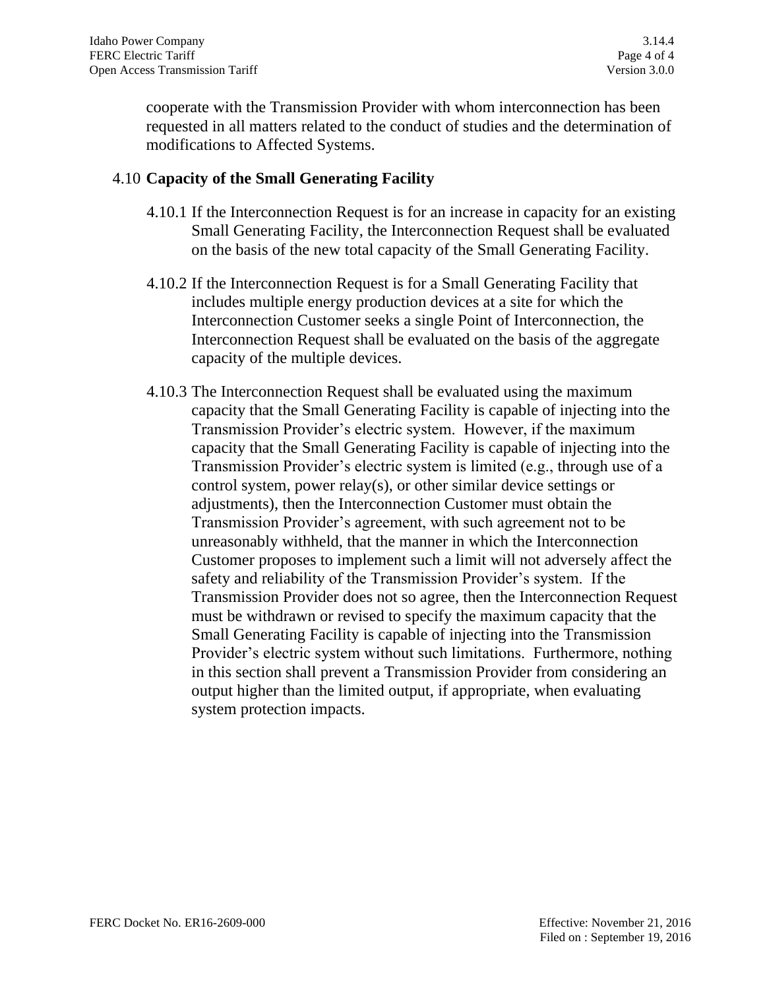cooperate with the Transmission Provider with whom interconnection has been requested in all matters related to the conduct of studies and the determination of modifications to Affected Systems.

## 4.10 **Capacity of the Small Generating Facility**

- 4.10.1 If the Interconnection Request is for an increase in capacity for an existing Small Generating Facility, the Interconnection Request shall be evaluated on the basis of the new total capacity of the Small Generating Facility.
- 4.10.2 If the Interconnection Request is for a Small Generating Facility that includes multiple energy production devices at a site for which the Interconnection Customer seeks a single Point of Interconnection, the Interconnection Request shall be evaluated on the basis of the aggregate capacity of the multiple devices.
- 4.10.3 The Interconnection Request shall be evaluated using the maximum capacity that the Small Generating Facility is capable of injecting into the Transmission Provider's electric system. However, if the maximum capacity that the Small Generating Facility is capable of injecting into the Transmission Provider's electric system is limited (e.g., through use of a control system, power relay(s), or other similar device settings or adjustments), then the Interconnection Customer must obtain the Transmission Provider's agreement, with such agreement not to be unreasonably withheld, that the manner in which the Interconnection Customer proposes to implement such a limit will not adversely affect the safety and reliability of the Transmission Provider's system. If the Transmission Provider does not so agree, then the Interconnection Request must be withdrawn or revised to specify the maximum capacity that the Small Generating Facility is capable of injecting into the Transmission Provider's electric system without such limitations. Furthermore, nothing in this section shall prevent a Transmission Provider from considering an output higher than the limited output, if appropriate, when evaluating system protection impacts.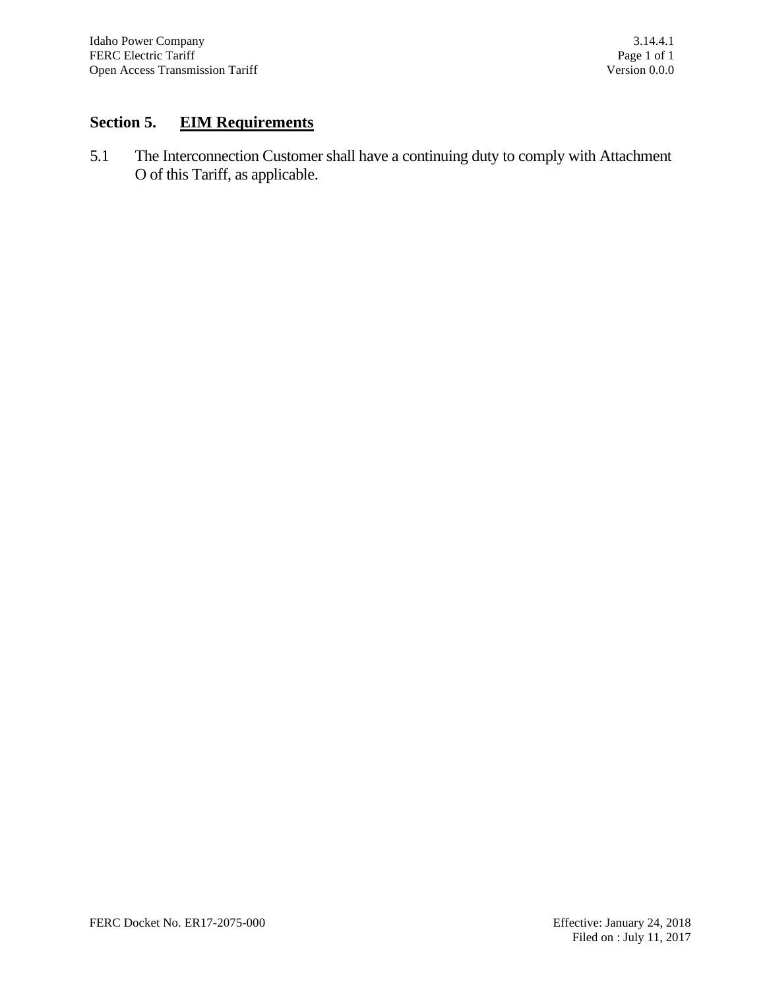# **Section 5. EIM Requirements**

5.1 The Interconnection Customer shall have a continuing duty to comply with Attachment O of this Tariff, as applicable.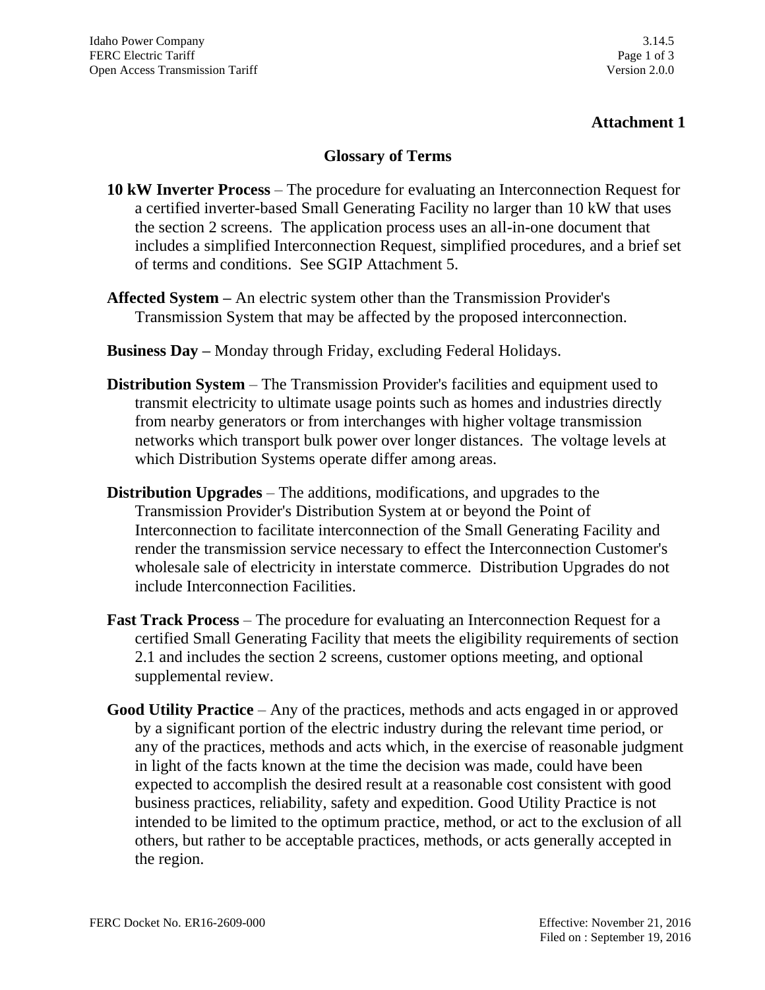## **Attachment 1**

#### **Glossary of Terms**

- **10 kW Inverter Process** The procedure for evaluating an Interconnection Request for a certified inverter-based Small Generating Facility no larger than 10 kW that uses the section 2 screens. The application process uses an all-in-one document that includes a simplified Interconnection Request, simplified procedures, and a brief set of terms and conditions. See SGIP Attachment 5.
- **Affected System –** An electric system other than the Transmission Provider's Transmission System that may be affected by the proposed interconnection.
- **Business Day –** Monday through Friday, excluding Federal Holidays.
- **Distribution System** The Transmission Provider's facilities and equipment used to transmit electricity to ultimate usage points such as homes and industries directly from nearby generators or from interchanges with higher voltage transmission networks which transport bulk power over longer distances. The voltage levels at which Distribution Systems operate differ among areas.
- **Distribution Upgrades** The additions, modifications, and upgrades to the Transmission Provider's Distribution System at or beyond the Point of Interconnection to facilitate interconnection of the Small Generating Facility and render the transmission service necessary to effect the Interconnection Customer's wholesale sale of electricity in interstate commerce. Distribution Upgrades do not include Interconnection Facilities.
- **Fast Track Process** The procedure for evaluating an Interconnection Request for a certified Small Generating Facility that meets the eligibility requirements of section 2.1 and includes the section 2 screens, customer options meeting, and optional supplemental review.
- **Good Utility Practice** Any of the practices, methods and acts engaged in or approved by a significant portion of the electric industry during the relevant time period, or any of the practices, methods and acts which, in the exercise of reasonable judgment in light of the facts known at the time the decision was made, could have been expected to accomplish the desired result at a reasonable cost consistent with good business practices, reliability, safety and expedition. Good Utility Practice is not intended to be limited to the optimum practice, method, or act to the exclusion of all others, but rather to be acceptable practices, methods, or acts generally accepted in the region.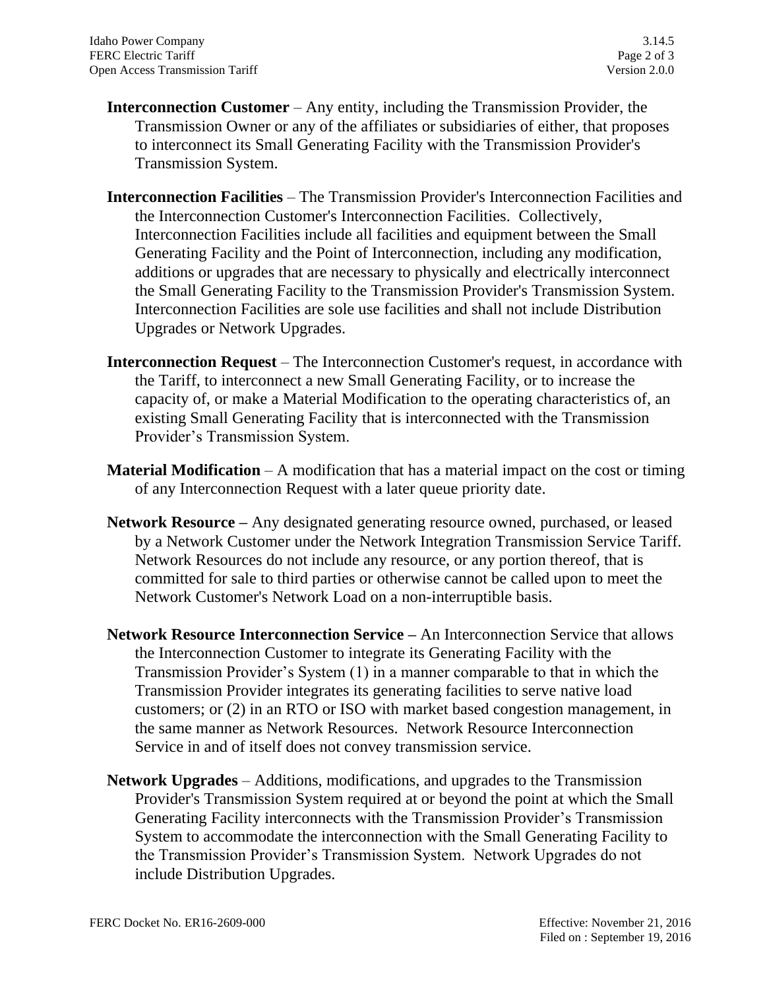- **Interconnection Customer** Any entity, including the Transmission Provider, the Transmission Owner or any of the affiliates or subsidiaries of either, that proposes to interconnect its Small Generating Facility with the Transmission Provider's Transmission System.
- **Interconnection Facilities** The Transmission Provider's Interconnection Facilities and the Interconnection Customer's Interconnection Facilities. Collectively, Interconnection Facilities include all facilities and equipment between the Small Generating Facility and the Point of Interconnection, including any modification, additions or upgrades that are necessary to physically and electrically interconnect the Small Generating Facility to the Transmission Provider's Transmission System. Interconnection Facilities are sole use facilities and shall not include Distribution Upgrades or Network Upgrades.
- **Interconnection Request** The Interconnection Customer's request, in accordance with the Tariff, to interconnect a new Small Generating Facility, or to increase the capacity of, or make a Material Modification to the operating characteristics of, an existing Small Generating Facility that is interconnected with the Transmission Provider's Transmission System.
- **Material Modification** A modification that has a material impact on the cost or timing of any Interconnection Request with a later queue priority date.
- **Network Resource –** Any designated generating resource owned, purchased, or leased by a Network Customer under the Network Integration Transmission Service Tariff. Network Resources do not include any resource, or any portion thereof, that is committed for sale to third parties or otherwise cannot be called upon to meet the Network Customer's Network Load on a non-interruptible basis.
- **Network Resource Interconnection Service –** An Interconnection Service that allows the Interconnection Customer to integrate its Generating Facility with the Transmission Provider's System (1) in a manner comparable to that in which the Transmission Provider integrates its generating facilities to serve native load customers; or (2) in an RTO or ISO with market based congestion management, in the same manner as Network Resources. Network Resource Interconnection Service in and of itself does not convey transmission service.
- **Network Upgrades** Additions, modifications, and upgrades to the Transmission Provider's Transmission System required at or beyond the point at which the Small Generating Facility interconnects with the Transmission Provider's Transmission System to accommodate the interconnection with the Small Generating Facility to the Transmission Provider's Transmission System. Network Upgrades do not include Distribution Upgrades.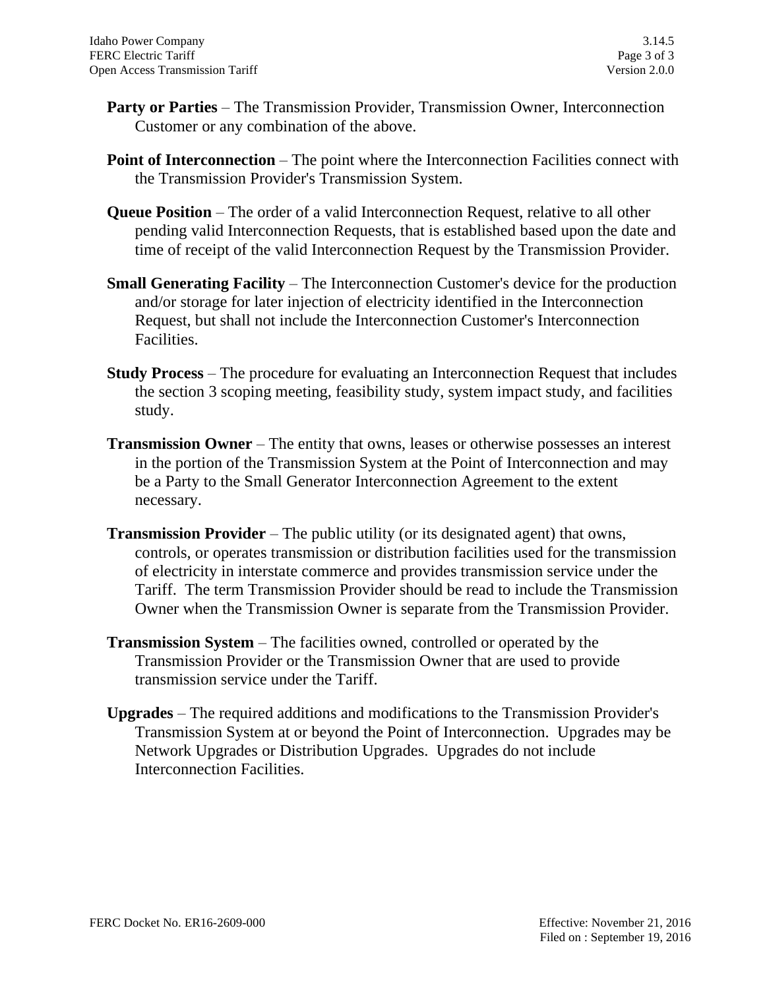- **Party or Parties** The Transmission Provider, Transmission Owner, Interconnection Customer or any combination of the above.
- **Point of Interconnection** The point where the Interconnection Facilities connect with the Transmission Provider's Transmission System.
- **Queue Position** The order of a valid Interconnection Request, relative to all other pending valid Interconnection Requests, that is established based upon the date and time of receipt of the valid Interconnection Request by the Transmission Provider.
- **Small Generating Facility**  The Interconnection Customer's device for the production and/or storage for later injection of electricity identified in the Interconnection Request, but shall not include the Interconnection Customer's Interconnection Facilities.
- **Study Process** The procedure for evaluating an Interconnection Request that includes the section 3 scoping meeting, feasibility study, system impact study, and facilities study.
- **Transmission Owner** The entity that owns, leases or otherwise possesses an interest in the portion of the Transmission System at the Point of Interconnection and may be a Party to the Small Generator Interconnection Agreement to the extent necessary.
- **Transmission Provider** The public utility (or its designated agent) that owns, controls, or operates transmission or distribution facilities used for the transmission of electricity in interstate commerce and provides transmission service under the Tariff. The term Transmission Provider should be read to include the Transmission Owner when the Transmission Owner is separate from the Transmission Provider.
- **Transmission System** The facilities owned, controlled or operated by the Transmission Provider or the Transmission Owner that are used to provide transmission service under the Tariff.
- **Upgrades** The required additions and modifications to the Transmission Provider's Transmission System at or beyond the Point of Interconnection. Upgrades may be Network Upgrades or Distribution Upgrades. Upgrades do not include Interconnection Facilities.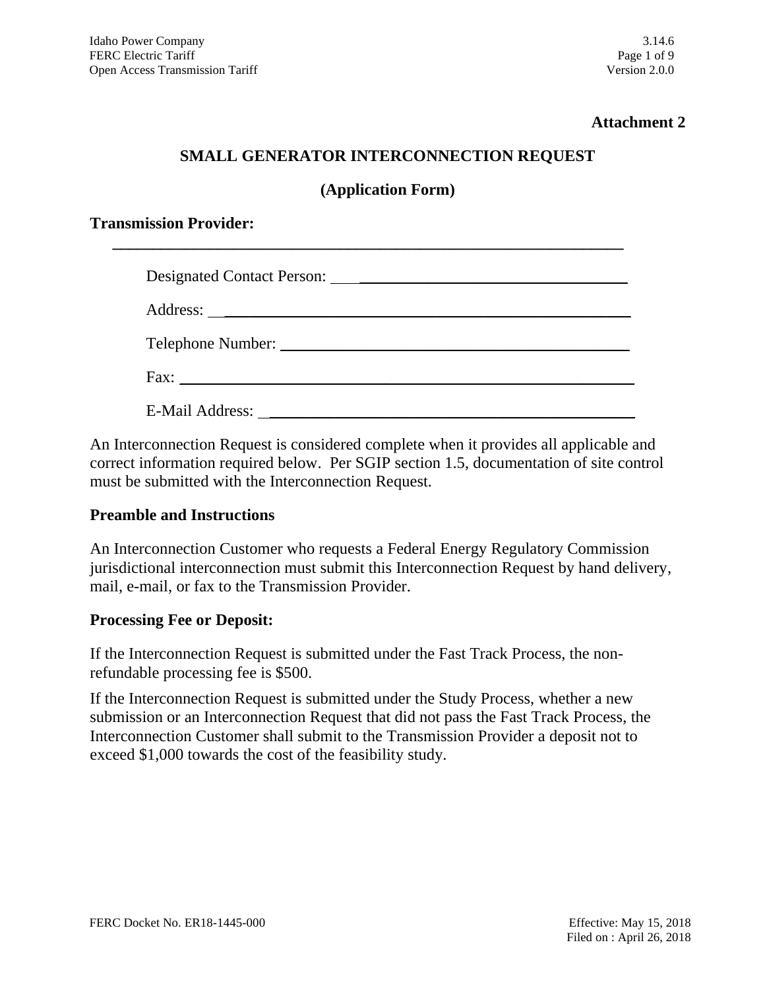### **Attachment 2**

#### **SMALL GENERATOR INTERCONNECTION REQUEST**

#### **(Application Form)**

**\_\_\_\_\_\_\_\_\_\_\_\_\_\_\_\_\_\_\_\_\_\_\_\_\_\_\_\_\_\_\_\_\_\_\_\_\_\_\_\_\_\_\_\_\_\_\_\_\_\_\_\_\_\_\_\_\_\_\_\_\_\_\_**

#### **Transmission Provider:**

| Telephone Number:   |
|---------------------|
| $Fax: ____________$ |
|                     |

An Interconnection Request is considered complete when it provides all applicable and correct information required below. Per SGIP section 1.5, documentation of site control must be submitted with the Interconnection Request.

#### **Preamble and Instructions**

An Interconnection Customer who requests a Federal Energy Regulatory Commission jurisdictional interconnection must submit this Interconnection Request by hand delivery, mail, e-mail, or fax to the Transmission Provider.

#### **Processing Fee or Deposit:**

If the Interconnection Request is submitted under the Fast Track Process, the nonrefundable processing fee is \$500.

If the Interconnection Request is submitted under the Study Process, whether a new submission or an Interconnection Request that did not pass the Fast Track Process, the Interconnection Customer shall submit to the Transmission Provider a deposit not to exceed \$1,000 towards the cost of the feasibility study.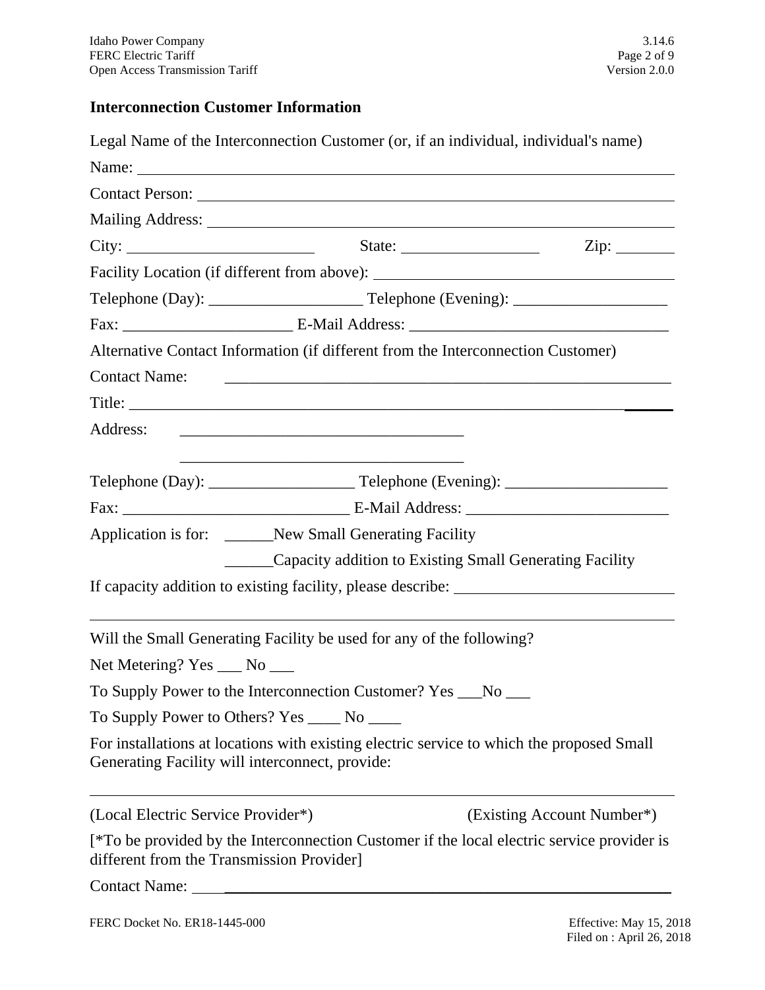# **Interconnection Customer Information**

| Legal Name of the Interconnection Customer (or, if an individual, individual's name)                                                                                                                                           |                                                                                                                       |                                                                |                            |
|--------------------------------------------------------------------------------------------------------------------------------------------------------------------------------------------------------------------------------|-----------------------------------------------------------------------------------------------------------------------|----------------------------------------------------------------|----------------------------|
| Name: Name and the set of the set of the set of the set of the set of the set of the set of the set of the set of the set of the set of the set of the set of the set of the set of the set of the set of the set of the set o |                                                                                                                       |                                                                |                            |
|                                                                                                                                                                                                                                |                                                                                                                       |                                                                |                            |
|                                                                                                                                                                                                                                |                                                                                                                       |                                                                |                            |
| City: $\begin{array}{cccc}\n\text{City:} & \text{State:} & \text{State:} & \text{Zip:} & \text{Cip:} \\ \end{array}$                                                                                                           |                                                                                                                       |                                                                |                            |
| Facility Location (if different from above): ___________________________________                                                                                                                                               |                                                                                                                       |                                                                |                            |
|                                                                                                                                                                                                                                |                                                                                                                       |                                                                |                            |
|                                                                                                                                                                                                                                |                                                                                                                       |                                                                |                            |
| Alternative Contact Information (if different from the Interconnection Customer)                                                                                                                                               |                                                                                                                       |                                                                |                            |
| Contact Name:                                                                                                                                                                                                                  |                                                                                                                       |                                                                |                            |
|                                                                                                                                                                                                                                |                                                                                                                       |                                                                |                            |
| Address:                                                                                                                                                                                                                       |                                                                                                                       |                                                                |                            |
|                                                                                                                                                                                                                                | <u> 1989 - Johann Stein, marwolaethau a bhann an t-Amhain ann an t-Amhain an t-Amhain an t-Amhain an t-Amhain an </u> |                                                                |                            |
|                                                                                                                                                                                                                                |                                                                                                                       |                                                                |                            |
| Application is for: ______New Small Generating Facility                                                                                                                                                                        |                                                                                                                       |                                                                |                            |
|                                                                                                                                                                                                                                |                                                                                                                       | _______Capacity addition to Existing Small Generating Facility |                            |
| If capacity addition to existing facility, please describe: _____________________                                                                                                                                              |                                                                                                                       |                                                                |                            |
| Will the Small Generating Facility be used for any of the following?                                                                                                                                                           |                                                                                                                       |                                                                |                            |
| Net Metering? Yes ___ No ___                                                                                                                                                                                                   |                                                                                                                       |                                                                |                            |
| To Supply Power to the Interconnection Customer? Yes __No __                                                                                                                                                                   |                                                                                                                       |                                                                |                            |
| To Supply Power to Others? Yes ______ No ______                                                                                                                                                                                |                                                                                                                       |                                                                |                            |
| For installations at locations with existing electric service to which the proposed Small<br>Generating Facility will interconnect, provide:                                                                                   |                                                                                                                       |                                                                |                            |
| (Local Electric Service Provider*)                                                                                                                                                                                             |                                                                                                                       |                                                                | (Existing Account Number*) |
| [*To be provided by the Interconnection Customer if the local electric service provider is<br>different from the Transmission Provider]                                                                                        |                                                                                                                       |                                                                |                            |
|                                                                                                                                                                                                                                |                                                                                                                       |                                                                |                            |
| FERC Docket No. ER18-1445-000                                                                                                                                                                                                  |                                                                                                                       |                                                                | Effective: May 15, 201     |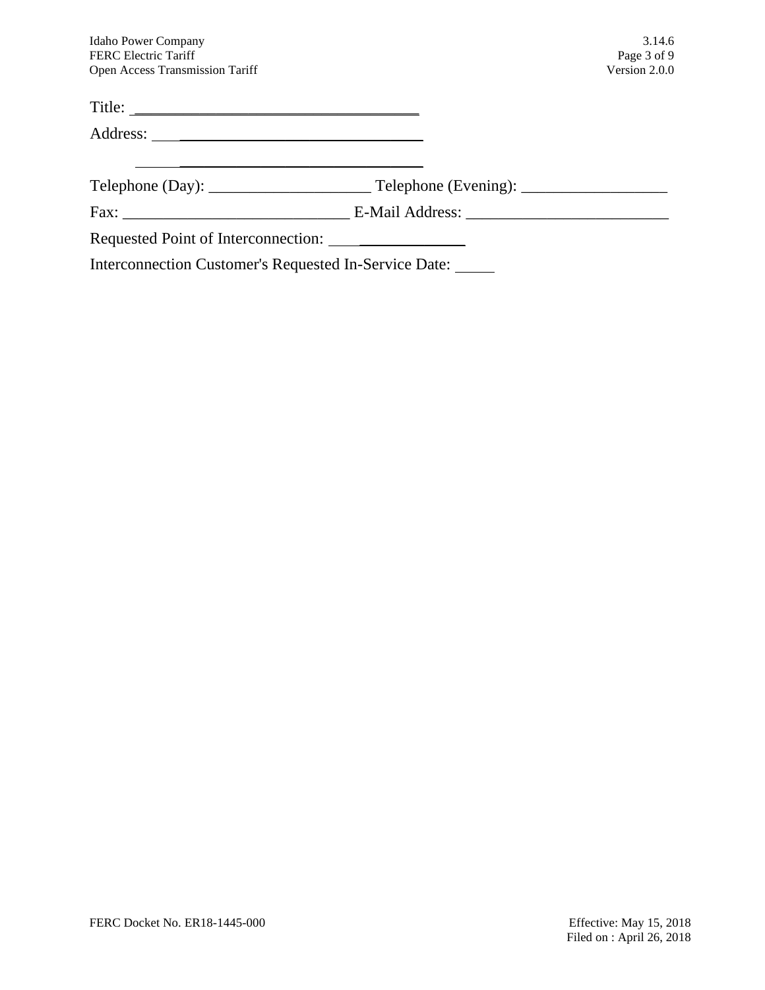| <b>Idaho Power Company</b><br><b>FERC Electric Tariff</b>   | 3.14.6                       |
|-------------------------------------------------------------|------------------------------|
| Open Access Transmission Tariff                             | Page 3 of 9<br>Version 2.0.0 |
| Title:                                                      |                              |
|                                                             |                              |
|                                                             |                              |
|                                                             |                              |
|                                                             |                              |
| Interconnection Customer's Requested In-Service Date: _____ |                              |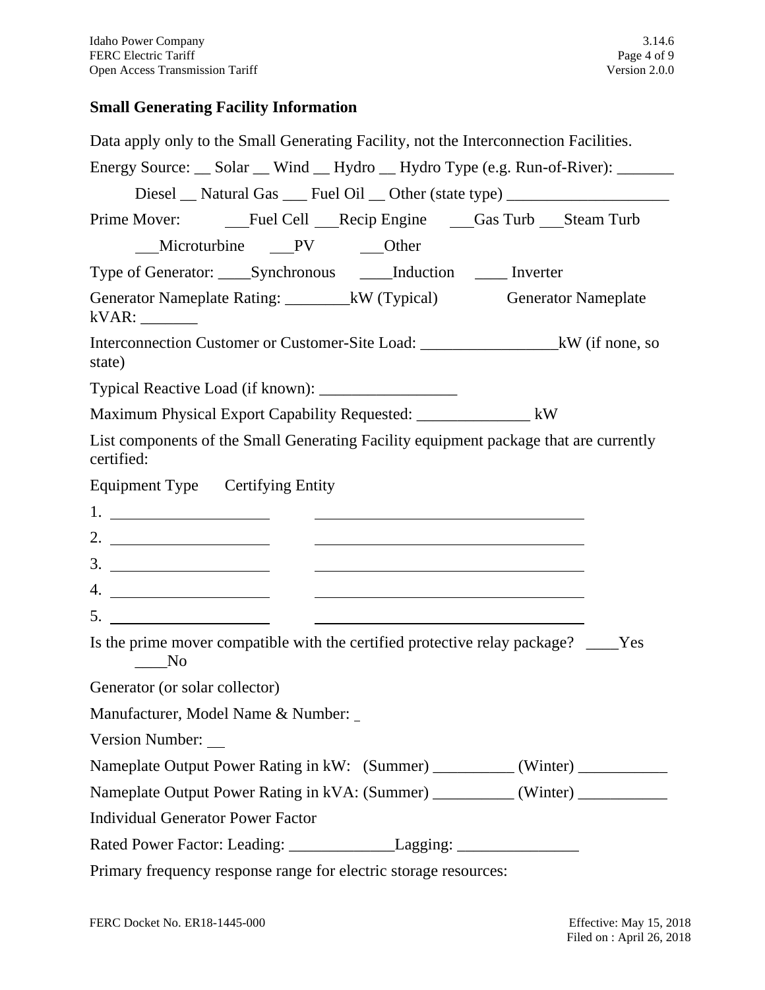# **Small Generating Facility Information**

| Data apply only to the Small Generating Facility, not the Interconnection Facilities.                                 |
|-----------------------------------------------------------------------------------------------------------------------|
| Energy Source: __ Solar __ Wind __ Hydro __ Hydro Type (e.g. Run-of-River): _____                                     |
| Diesel __ Natural Gas ___ Fuel Oil __ Other (state type) _______________________                                      |
|                                                                                                                       |
| __Microturbine ___PV ____Other                                                                                        |
| Type of Generator: _____Synchronous _____Induction ______ Inverter                                                    |
| Generator Nameplate Rating: __________kW (Typical) Generator Nameplate<br>kVAR:                                       |
| Interconnection Customer or Customer-Site Load: ________________________kW (if none, so<br>state)                     |
|                                                                                                                       |
| Maximum Physical Export Capability Requested: __________________ kW                                                   |
| List components of the Small Generating Facility equipment package that are currently<br>certified:                   |
| Equipment Type Certifying Entity                                                                                      |
| <u> 1989 - Johann Harry Harry Harry Harry Harry Harry Harry Harry Harry Harry Harry Harry Harry Harry Harry Harry</u> |
| 2. $\qquad \qquad$                                                                                                    |
| <u> 1989 - Andrea Andrew Maria (h. 1989).</u>                                                                         |
|                                                                                                                       |
|                                                                                                                       |
| Is the prime mover compatible with the certified protective relay package? ____Yes<br>$\sqrt{N_0}$                    |
| Generator (or solar collector)                                                                                        |
| Manufacturer, Model Name & Number:                                                                                    |
| <b>Version Number:</b>                                                                                                |
| Nameplate Output Power Rating in kW: (Summer) __________(Winter) _______________                                      |
| Nameplate Output Power Rating in kVA: (Summer) __________ (Winter) __________                                         |
| <b>Individual Generator Power Factor</b>                                                                              |
| Rated Power Factor: Leading: _________________Lagging: _________________________                                      |
| Primary frequency response range for electric storage resources:                                                      |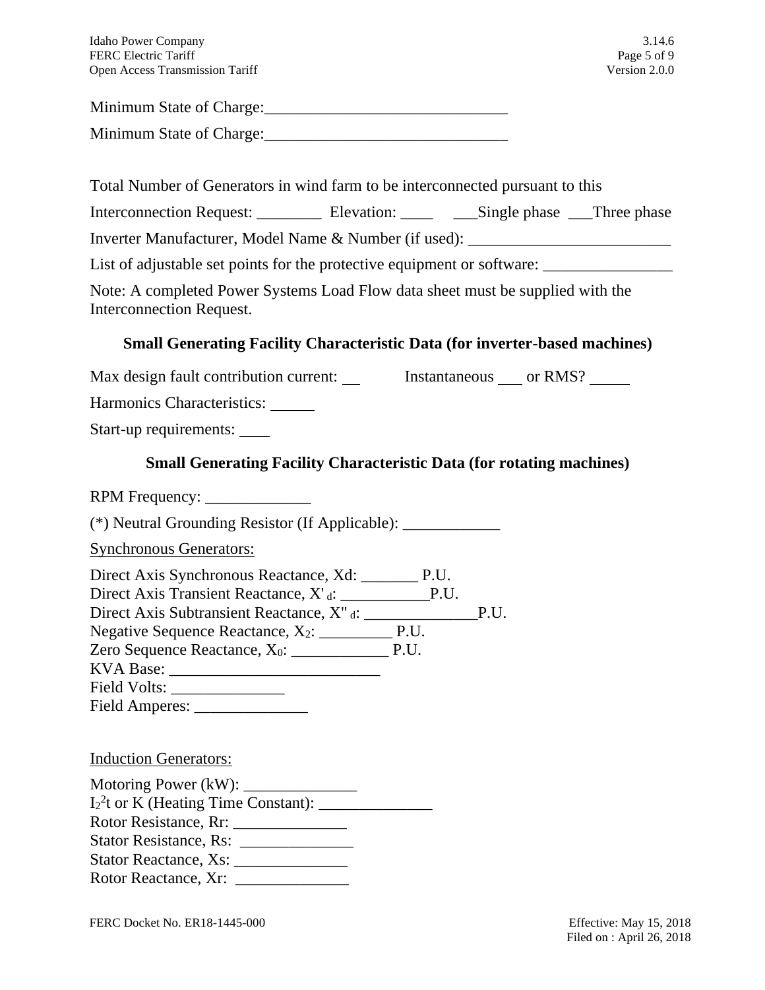| Idaho Power Company                    | 3.14.6        |
|----------------------------------------|---------------|
| <b>FERC Electric Tariff</b>            | Page 5 of 9   |
| <b>Open Access Transmission Tariff</b> | Version 2.0.0 |

Minimum State of Charge:

Minimum State of Charge:

Total Number of Generators in wind farm to be interconnected pursuant to this

| <b>Interconnection Request:</b> | Elevation: | __Single phase | __Three phase |
|---------------------------------|------------|----------------|---------------|
|                                 |            |                |               |

Inverter Manufacturer, Model Name & Number (if used): \_\_\_\_\_\_\_\_\_\_\_\_\_\_\_\_\_\_\_\_\_\_\_\_\_\_

List of adjustable set points for the protective equipment or software: \_\_\_\_\_\_\_\_\_

Note: A completed Power Systems Load Flow data sheet must be supplied with the Interconnection Request.

# **Small Generating Facility Characteristic Data (for inverter-based machines)**

Max design fault contribution current: Instantaneous \_\_\_\_ or RMS? \_\_\_\_\_\_

Harmonics Characteristics:

Start-up requirements:

# **Small Generating Facility Characteristic Data (for rotating machines)**

RPM Frequency:

(\*) Neutral Grounding Resistor (If Applicable): \_\_\_\_\_\_\_\_\_\_\_\_

Synchronous Generators:

Direct Axis Synchronous Reactance, Xd: \_\_\_\_\_\_\_ P.U. Direct Axis Transient Reactance, X' <sup>d</sup>: \_\_\_\_\_\_\_\_\_\_\_P.U. Direct Axis Subtransient Reactance, X" <sup>d</sup>: \_\_\_\_\_\_\_\_\_\_\_\_\_\_P.U.

Negative Sequence Reactance, X2: \_\_\_\_\_\_\_\_\_ P.U. Zero Sequence Reactance, X0: \_\_\_\_\_\_\_\_\_\_\_\_ P.U.

KVA Base: \_\_\_\_\_\_\_\_\_\_\_\_\_\_\_\_\_\_\_\_\_\_\_\_\_\_

Field Volts: \_\_\_\_\_\_\_\_\_\_\_\_\_\_

Field Amperes: \_\_\_\_\_\_\_\_\_\_\_\_\_\_

## Induction Generators:

Motoring Power  $(kW)$ : I2 2 t or K (Heating Time Constant): \_\_\_\_\_\_\_\_\_\_\_\_\_\_ Rotor Resistance, Rr: \_\_\_\_\_\_\_\_\_\_\_\_\_\_ Stator Resistance, Rs: \_\_\_\_\_\_\_\_\_\_\_\_\_\_ Stator Reactance, Xs: \_\_\_\_\_\_\_\_\_\_\_\_\_\_ Rotor Reactance, Xr: \_\_\_\_\_\_\_\_\_\_\_\_\_\_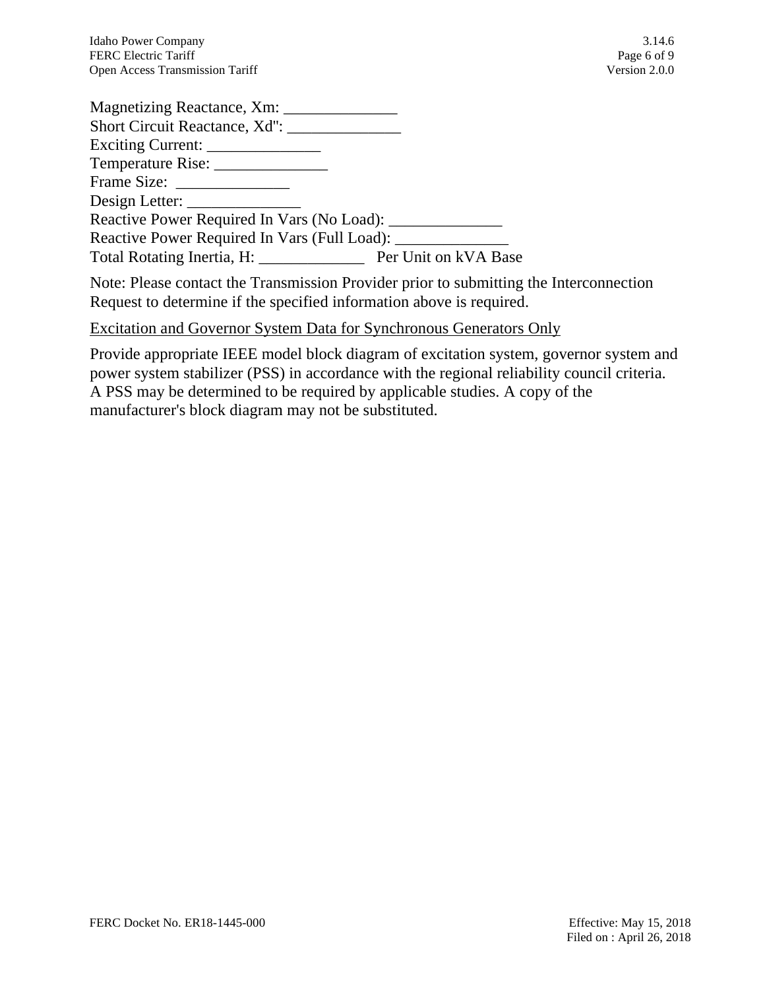| Magnetizing Reactance, Xm:                         |  |
|----------------------------------------------------|--|
| Short Circuit Reactance, Xd":                      |  |
| Exciting Current: ______________                   |  |
| Temperature Rise: _______________                  |  |
|                                                    |  |
|                                                    |  |
| Reactive Power Required In Vars (No Load):         |  |
| Reactive Power Required In Vars (Full Load): _____ |  |
| Total Rotating Inertia, H: Per Unit on kVA Base    |  |

Note: Please contact the Transmission Provider prior to submitting the Interconnection Request to determine if the specified information above is required.

### Excitation and Governor System Data for Synchronous Generators Only

Provide appropriate IEEE model block diagram of excitation system, governor system and power system stabilizer (PSS) in accordance with the regional reliability council criteria. A PSS may be determined to be required by applicable studies. A copy of the manufacturer's block diagram may not be substituted.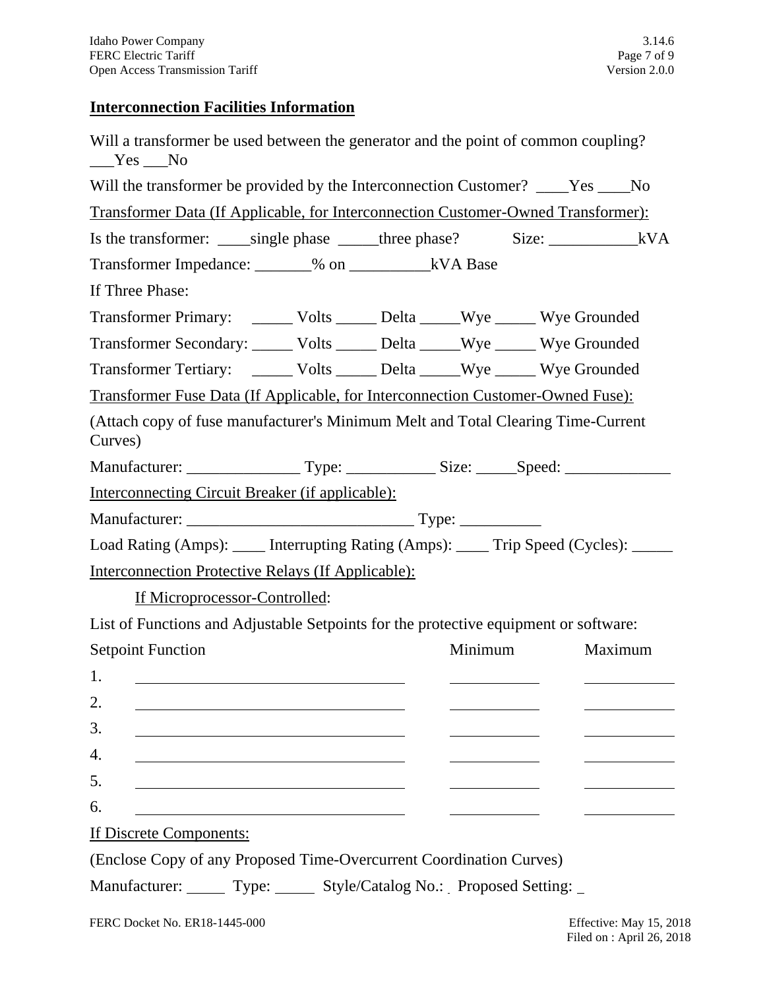# **Interconnection Facilities Information**

| Will a transformer be used between the generator and the point of common coupling?<br>$Yes$ No |  |         |         |
|------------------------------------------------------------------------------------------------|--|---------|---------|
| Will the transformer be provided by the Interconnection Customer? ____Yes ____No               |  |         |         |
| Transformer Data (If Applicable, for Interconnection Customer-Owned Transformer):              |  |         |         |
| Is the transformer: _____single phase ______three phase? Size: ________________kVA             |  |         |         |
| Transformer Impedance: _______% on ______________kVA Base                                      |  |         |         |
| If Three Phase:                                                                                |  |         |         |
| Transformer Primary: _______ Volts _______ Delta ______Wye _______Wye Grounded                 |  |         |         |
| Transformer Secondary: ______ Volts ______ Delta _____Wye ______ Wye Grounded                  |  |         |         |
| Transformer Tertiary: _______ Volts ______ Delta ______Wye ______ Wye Grounded                 |  |         |         |
| Transformer Fuse Data (If Applicable, for Interconnection Customer-Owned Fuse):                |  |         |         |
| (Attach copy of fuse manufacturer's Minimum Melt and Total Clearing Time-Current<br>Curves)    |  |         |         |
|                                                                                                |  |         |         |
| <u>Interconnecting Circuit Breaker (if applicable):</u>                                        |  |         |         |
|                                                                                                |  |         |         |
| Load Rating (Amps): _____ Interrupting Rating (Amps): _____ Trip Speed (Cycles): _____         |  |         |         |
| <b>Interconnection Protective Relays (If Applicable):</b>                                      |  |         |         |
| If Microprocessor-Controlled:                                                                  |  |         |         |
| List of Functions and Adjustable Setpoints for the protective equipment or software:           |  |         |         |
| <b>Setpoint Function</b>                                                                       |  | Minimum | Maximum |
| 1.                                                                                             |  |         |         |
| 2.                                                                                             |  |         |         |
| 3.                                                                                             |  |         |         |
| 4.                                                                                             |  |         |         |
| 5.                                                                                             |  |         |         |
| 6.                                                                                             |  |         |         |
| If Discrete Components:                                                                        |  |         |         |
| (Enclose Copy of any Proposed Time-Overcurrent Coordination Curves)                            |  |         |         |
| Manufacturer: Type: Style/Catalog No.: Proposed Setting:                                       |  |         |         |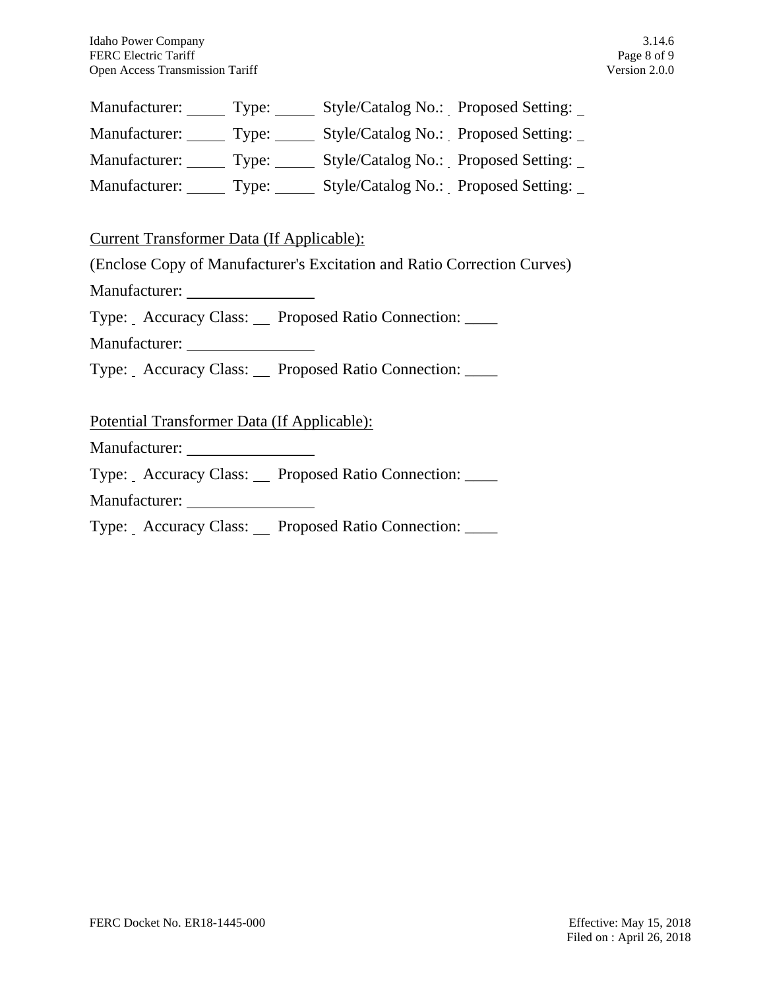| Manufacturer: | Type: | Style/Catalog No.: Proposed Setting: |
|---------------|-------|--------------------------------------|
| Manufacturer: | Type: | Style/Catalog No.: Proposed Setting: |
| Manufacturer: | Type: | Style/Catalog No.: Proposed Setting: |
| Manufacturer: | Type: | Style/Catalog No.: Proposed Setting: |

Current Transformer Data (If Applicable):

(Enclose Copy of Manufacturer's Excitation and Ratio Correction Curves)

Manufacturer:

Type: Accuracy Class: Proposed Ratio Connection: \_\_\_\_

Manufacturer:

Type: Accuracy Class: Proposed Ratio Connection: \_\_\_\_

Potential Transformer Data (If Applicable):

Manufacturer:

Type: Accuracy Class: Proposed Ratio Connection: \_\_\_\_

Manufacturer:

Type: Accuracy Class: Proposed Ratio Connection: \_\_\_\_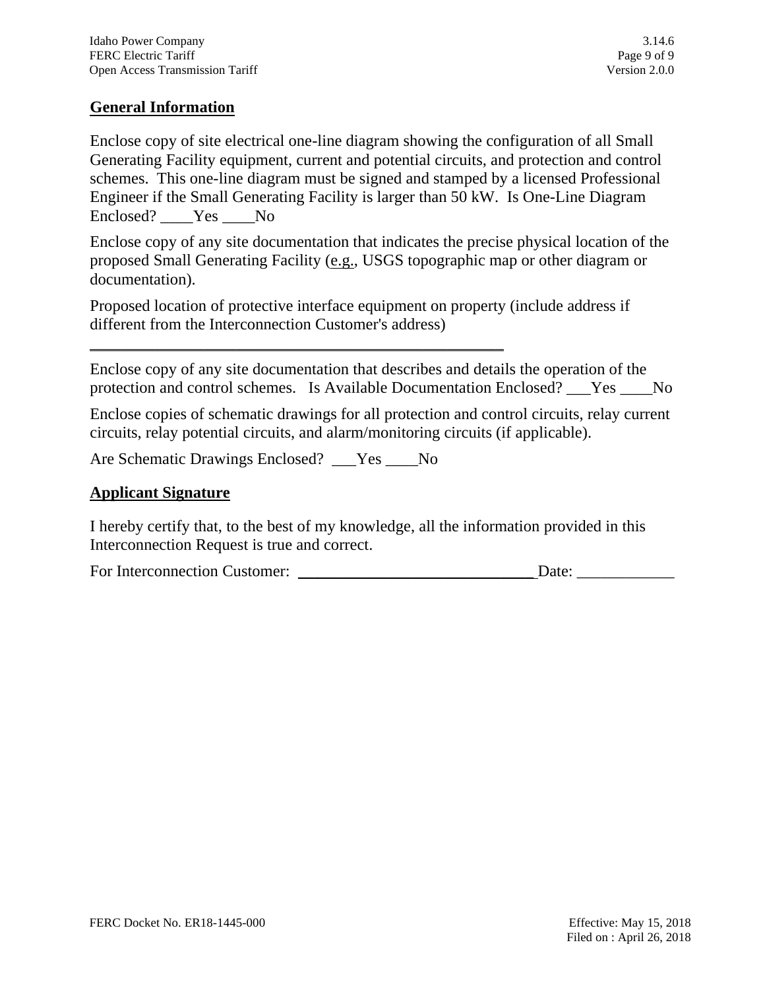# **General Information**

Enclose copy of site electrical one-line diagram showing the configuration of all Small Generating Facility equipment, current and potential circuits, and protection and control schemes. This one-line diagram must be signed and stamped by a licensed Professional Engineer if the Small Generating Facility is larger than 50 kW.Is One-Line Diagram Enclosed? Yes No

Enclose copy of any site documentation that indicates the precise physical location of the proposed Small Generating Facility (e.g., USGS topographic map or other diagram or documentation).

Proposed location of protective interface equipment on property (include address if different from the Interconnection Customer's address)

Enclose copy of any site documentation that describes and details the operation of the protection and control schemes. Is Available Documentation Enclosed? Yes No

Enclose copies of schematic drawings for all protection and control circuits, relay current circuits, relay potential circuits, and alarm/monitoring circuits (if applicable).

Are Schematic Drawings Enclosed? \_\_\_Yes \_\_\_\_No

\_\_\_\_\_\_\_\_\_\_\_\_\_\_\_\_\_\_\_\_\_\_\_\_\_\_\_\_\_\_\_\_\_\_\_\_\_\_\_\_\_\_\_\_\_\_\_\_\_\_\_

#### **Applicant Signature**

I hereby certify that, to the best of my knowledge, all the information provided in this Interconnection Request is true and correct.

For Interconnection Customer: \_\_\_\_\_\_\_\_\_\_\_\_\_\_\_\_\_\_\_\_\_\_\_\_\_\_\_\_\_ Date: \_\_\_\_\_\_\_\_\_\_\_\_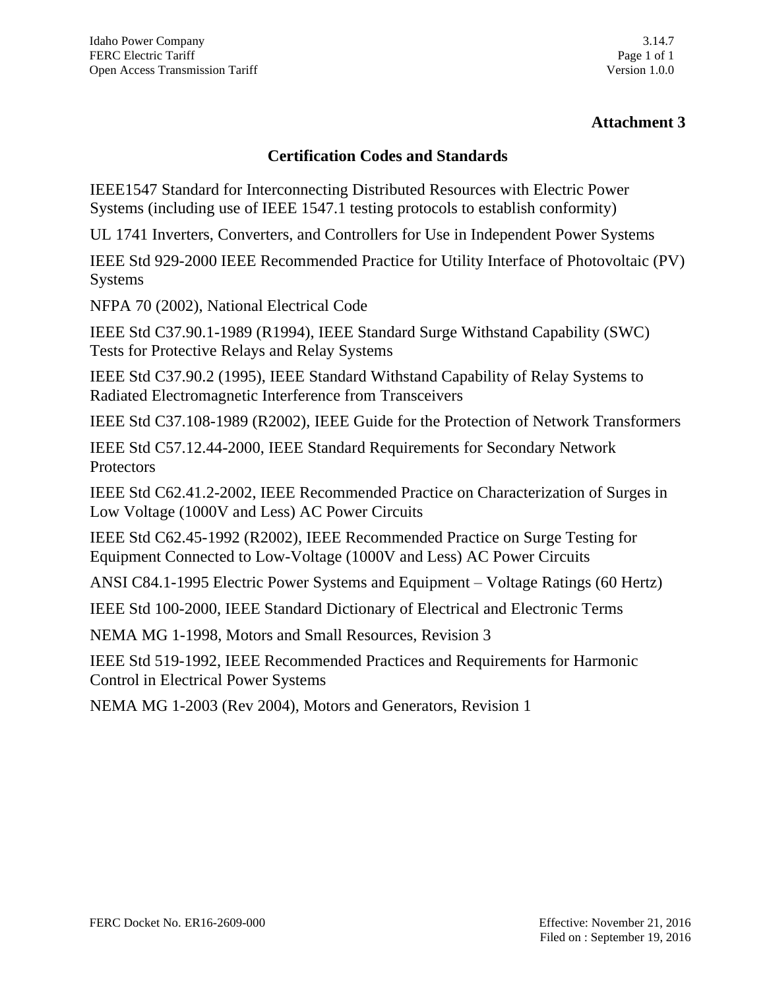# **Attachment 3**

### **Certification Codes and Standards**

IEEE1547 Standard for Interconnecting Distributed Resources with Electric Power Systems (including use of IEEE 1547.1 testing protocols to establish conformity)

UL 1741 Inverters, Converters, and Controllers for Use in Independent Power Systems

IEEE Std 929-2000 IEEE Recommended Practice for Utility Interface of Photovoltaic (PV) Systems

NFPA 70 (2002), National Electrical Code

IEEE Std C37.90.1-1989 (R1994), IEEE Standard Surge Withstand Capability (SWC) Tests for Protective Relays and Relay Systems

IEEE Std C37.90.2 (1995), IEEE Standard Withstand Capability of Relay Systems to Radiated Electromagnetic Interference from Transceivers

IEEE Std C37.108-1989 (R2002), IEEE Guide for the Protection of Network Transformers

IEEE Std C57.12.44-2000, IEEE Standard Requirements for Secondary Network Protectors

IEEE Std C62.41.2-2002, IEEE Recommended Practice on Characterization of Surges in Low Voltage (1000V and Less) AC Power Circuits

IEEE Std C62.45-1992 (R2002), IEEE Recommended Practice on Surge Testing for Equipment Connected to Low-Voltage (1000V and Less) AC Power Circuits

ANSI C84.1-1995 Electric Power Systems and Equipment – Voltage Ratings (60 Hertz)

IEEE Std 100-2000, IEEE Standard Dictionary of Electrical and Electronic Terms

NEMA MG 1-1998, Motors and Small Resources, Revision 3

IEEE Std 519-1992, IEEE Recommended Practices and Requirements for Harmonic Control in Electrical Power Systems

NEMA MG 1-2003 (Rev 2004), Motors and Generators, Revision 1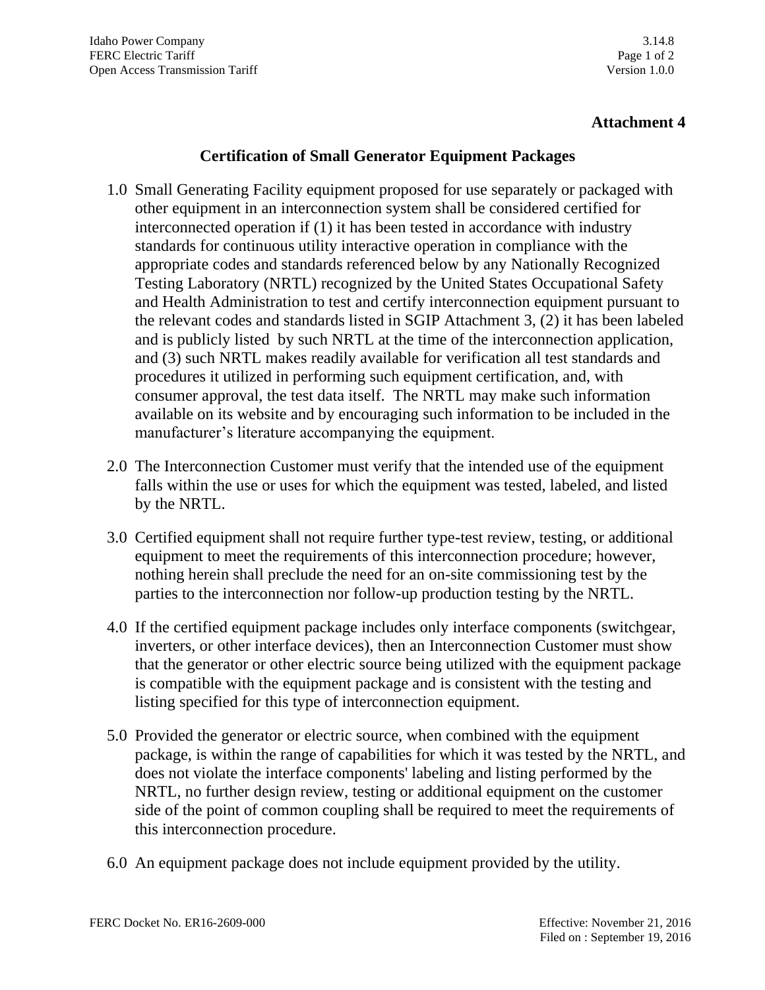# **Attachment 4**

## **Certification of Small Generator Equipment Packages**

- 1.0 Small Generating Facility equipment proposed for use separately or packaged with other equipment in an interconnection system shall be considered certified for interconnected operation if (1) it has been tested in accordance with industry standards for continuous utility interactive operation in compliance with the appropriate codes and standards referenced below by any Nationally Recognized Testing Laboratory (NRTL) recognized by the United States Occupational Safety and Health Administration to test and certify interconnection equipment pursuant to the relevant codes and standards listed in SGIP Attachment 3, (2) it has been labeled and is publicly listed by such NRTL at the time of the interconnection application, and (3) such NRTL makes readily available for verification all test standards and procedures it utilized in performing such equipment certification, and, with consumer approval, the test data itself. The NRTL may make such information available on its website and by encouraging such information to be included in the manufacturer's literature accompanying the equipment.
- 2.0 The Interconnection Customer must verify that the intended use of the equipment falls within the use or uses for which the equipment was tested, labeled, and listed by the NRTL.
- 3.0 Certified equipment shall not require further type-test review, testing, or additional equipment to meet the requirements of this interconnection procedure; however, nothing herein shall preclude the need for an on-site commissioning test by the parties to the interconnection nor follow-up production testing by the NRTL.
- 4.0 If the certified equipment package includes only interface components (switchgear, inverters, or other interface devices), then an Interconnection Customer must show that the generator or other electric source being utilized with the equipment package is compatible with the equipment package and is consistent with the testing and listing specified for this type of interconnection equipment.
- 5.0 Provided the generator or electric source, when combined with the equipment package, is within the range of capabilities for which it was tested by the NRTL, and does not violate the interface components' labeling and listing performed by the NRTL, no further design review, testing or additional equipment on the customer side of the point of common coupling shall be required to meet the requirements of this interconnection procedure.
- 6.0 An equipment package does not include equipment provided by the utility.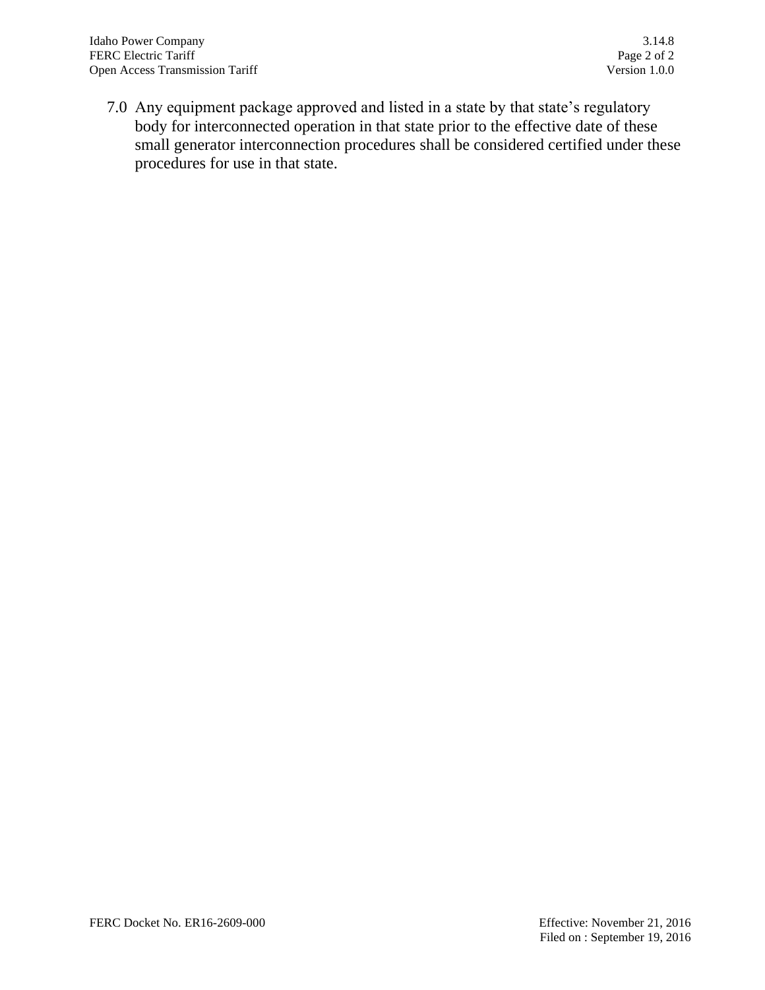7.0 Any equipment package approved and listed in a state by that state's regulatory body for interconnected operation in that state prior to the effective date of these small generator interconnection procedures shall be considered certified under these procedures for use in that state.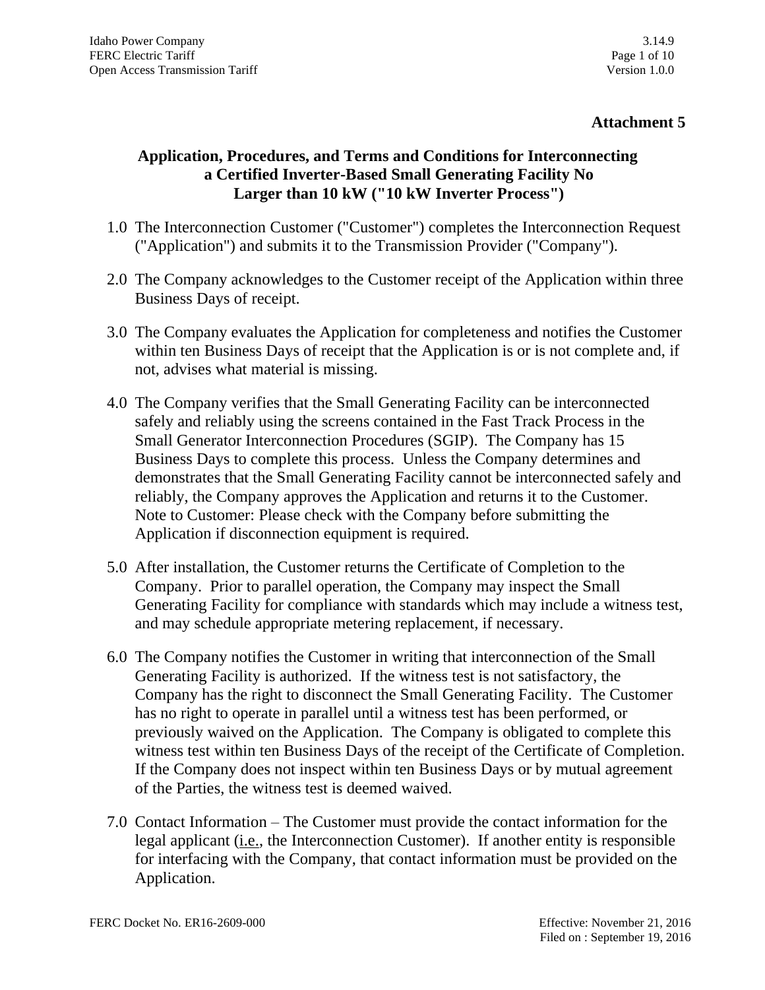# **Attachment 5**

# **Application, Procedures, and Terms and Conditions for Interconnecting a Certified Inverter-Based Small Generating Facility No Larger than 10 kW ("10 kW Inverter Process")**

- 1.0 The Interconnection Customer ("Customer") completes the Interconnection Request ("Application") and submits it to the Transmission Provider ("Company").
- 2.0 The Company acknowledges to the Customer receipt of the Application within three Business Days of receipt.
- 3.0 The Company evaluates the Application for completeness and notifies the Customer within ten Business Days of receipt that the Application is or is not complete and, if not, advises what material is missing.
- 4.0 The Company verifies that the Small Generating Facility can be interconnected safely and reliably using the screens contained in the Fast Track Process in the Small Generator Interconnection Procedures (SGIP). The Company has 15 Business Days to complete this process. Unless the Company determines and demonstrates that the Small Generating Facility cannot be interconnected safely and reliably, the Company approves the Application and returns it to the Customer. Note to Customer: Please check with the Company before submitting the Application if disconnection equipment is required.
- 5.0 After installation, the Customer returns the Certificate of Completion to the Company. Prior to parallel operation, the Company may inspect the Small Generating Facility for compliance with standards which may include a witness test, and may schedule appropriate metering replacement, if necessary.
- 6.0 The Company notifies the Customer in writing that interconnection of the Small Generating Facility is authorized. If the witness test is not satisfactory, the Company has the right to disconnect the Small Generating Facility. The Customer has no right to operate in parallel until a witness test has been performed, or previously waived on the Application. The Company is obligated to complete this witness test within ten Business Days of the receipt of the Certificate of Completion. If the Company does not inspect within ten Business Days or by mutual agreement of the Parties, the witness test is deemed waived.
- 7.0 Contact Information The Customer must provide the contact information for the legal applicant (i.e., the Interconnection Customer). If another entity is responsible for interfacing with the Company, that contact information must be provided on the Application.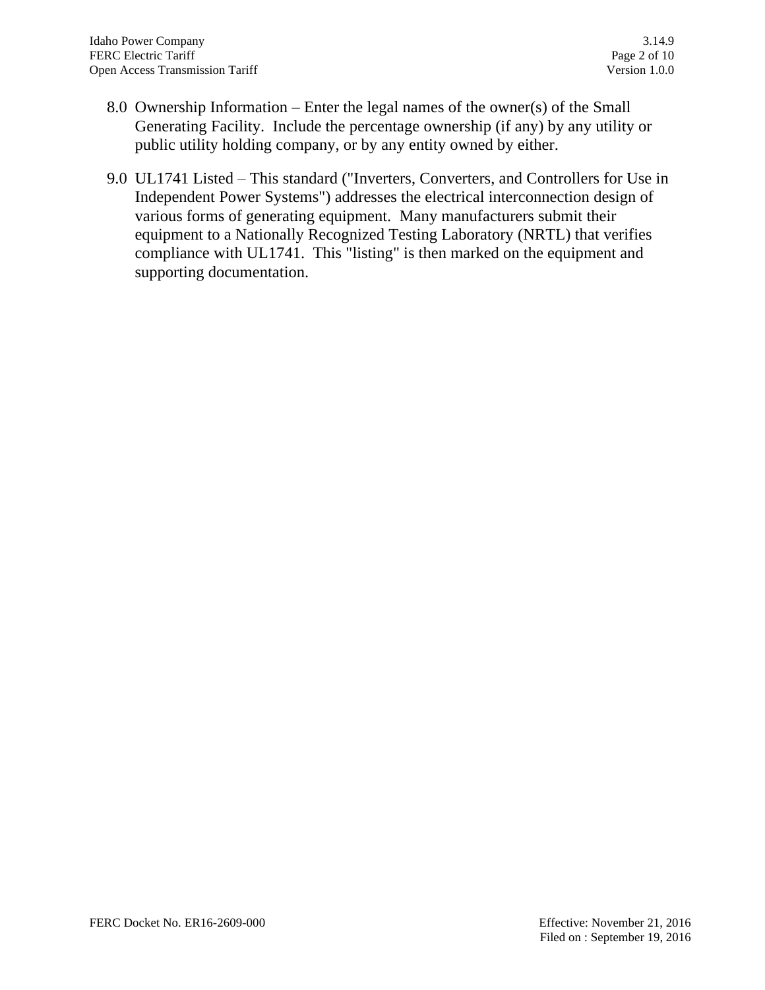- 8.0 Ownership Information Enter the legal names of the owner(s) of the Small Generating Facility. Include the percentage ownership (if any) by any utility or public utility holding company, or by any entity owned by either.
- 9.0 UL1741 Listed This standard ("Inverters, Converters, and Controllers for Use in Independent Power Systems") addresses the electrical interconnection design of various forms of generating equipment. Many manufacturers submit their equipment to a Nationally Recognized Testing Laboratory (NRTL) that verifies compliance with UL1741. This "listing" is then marked on the equipment and supporting documentation.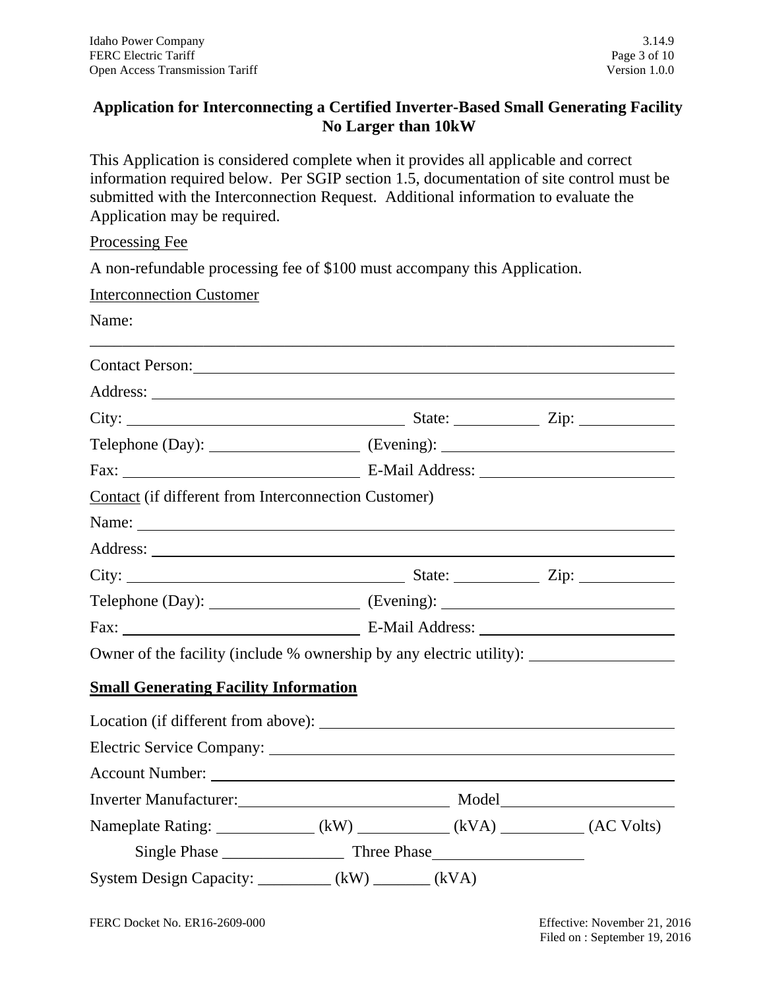# **Application for Interconnecting a Certified Inverter-Based Small Generating Facility No Larger than 10kW**

This Application is considered complete when it provides all applicable and correct information required below. Per SGIP section 1.5, documentation of site control must be submitted with the Interconnection Request. Additional information to evaluate the Application may be required.

Processing Fee

A non-refundable processing fee of \$100 must accompany this Application.

| <b>Interconnection Customer</b>                                                                                                                                                                                                |  |                                                                                   |  |  |
|--------------------------------------------------------------------------------------------------------------------------------------------------------------------------------------------------------------------------------|--|-----------------------------------------------------------------------------------|--|--|
| Name:                                                                                                                                                                                                                          |  |                                                                                   |  |  |
| Contact Person: New York Contact Person:                                                                                                                                                                                       |  |                                                                                   |  |  |
|                                                                                                                                                                                                                                |  |                                                                                   |  |  |
|                                                                                                                                                                                                                                |  |                                                                                   |  |  |
|                                                                                                                                                                                                                                |  | Telephone (Day): ______________________ (Evening): _____________________________  |  |  |
|                                                                                                                                                                                                                                |  |                                                                                   |  |  |
| Contact (if different from Interconnection Customer)                                                                                                                                                                           |  |                                                                                   |  |  |
|                                                                                                                                                                                                                                |  |                                                                                   |  |  |
|                                                                                                                                                                                                                                |  |                                                                                   |  |  |
|                                                                                                                                                                                                                                |  |                                                                                   |  |  |
|                                                                                                                                                                                                                                |  | Telephone (Day): _________________________ (Evening): ___________________________ |  |  |
|                                                                                                                                                                                                                                |  |                                                                                   |  |  |
| Owner of the facility (include % ownership by any electric utility): ____________                                                                                                                                              |  |                                                                                   |  |  |
| <b>Small Generating Facility Information</b>                                                                                                                                                                                   |  |                                                                                   |  |  |
|                                                                                                                                                                                                                                |  |                                                                                   |  |  |
| Electric Service Company: New York Company:                                                                                                                                                                                    |  |                                                                                   |  |  |
|                                                                                                                                                                                                                                |  |                                                                                   |  |  |
| Inverter Manufacturer: Manufacturer Manufacturer Manufacturer Manufacturer Manufacturer Manufacturer Manufacturer Manufacturer Manufacturer Manufacturer Manufacturer Manufacturer Manufacturer Manufacturer Manufacturer Manu |  |                                                                                   |  |  |
| Nameplate Rating: ______________(kW) ___________(kVA) __________(AC Volts)                                                                                                                                                     |  |                                                                                   |  |  |
|                                                                                                                                                                                                                                |  |                                                                                   |  |  |
| System Design Capacity: _________ (kW) ______ (kVA)                                                                                                                                                                            |  |                                                                                   |  |  |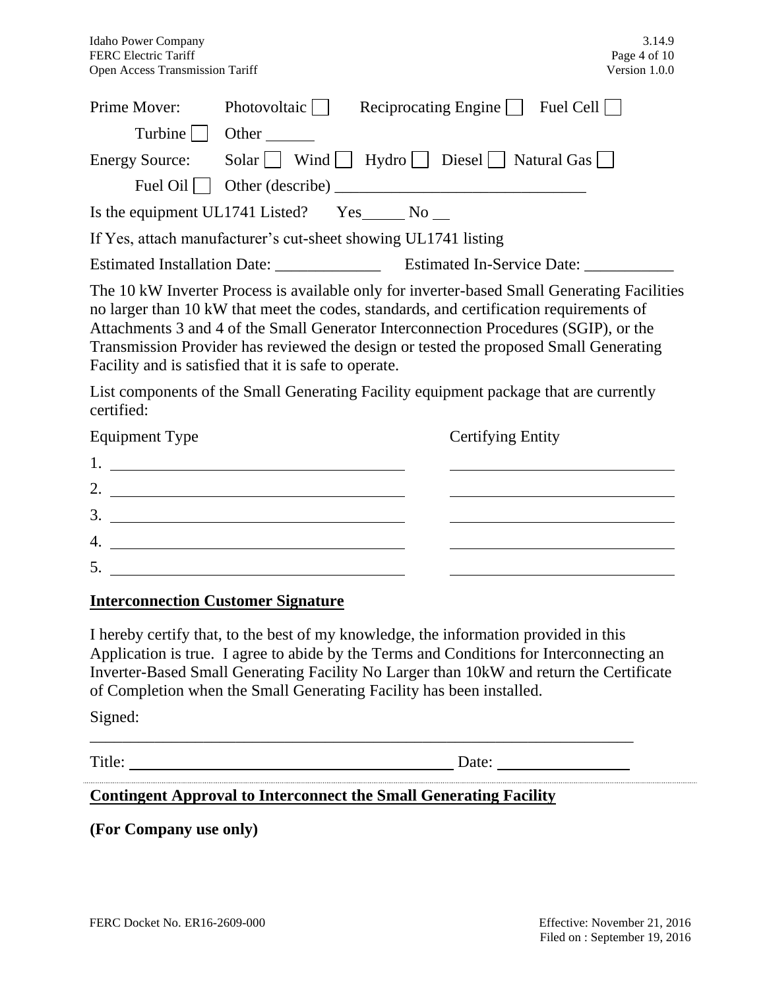| Prime Mover:                                                                                                                                                                                                                                                                                                                                                                                                                                                                                                             | Photovoltaic                        | Reciprocating Engine $\Box$ Fuel Cell $\Box$ |                          |  |  |  |
|--------------------------------------------------------------------------------------------------------------------------------------------------------------------------------------------------------------------------------------------------------------------------------------------------------------------------------------------------------------------------------------------------------------------------------------------------------------------------------------------------------------------------|-------------------------------------|----------------------------------------------|--------------------------|--|--|--|
|                                                                                                                                                                                                                                                                                                                                                                                                                                                                                                                          | $Turbine \bigsqcup$ Other           |                                              |                          |  |  |  |
| <b>Energy Source:</b>                                                                                                                                                                                                                                                                                                                                                                                                                                                                                                    | Solar Wind Hydro Diesel Natural Gas |                                              |                          |  |  |  |
|                                                                                                                                                                                                                                                                                                                                                                                                                                                                                                                          |                                     |                                              |                          |  |  |  |
| Is the equipment UL1741 Listed? $Yes$ No $\_\_$                                                                                                                                                                                                                                                                                                                                                                                                                                                                          |                                     |                                              |                          |  |  |  |
| If Yes, attach manufacturer's cut-sheet showing UL1741 listing                                                                                                                                                                                                                                                                                                                                                                                                                                                           |                                     |                                              |                          |  |  |  |
|                                                                                                                                                                                                                                                                                                                                                                                                                                                                                                                          |                                     |                                              |                          |  |  |  |
| The 10 kW Inverter Process is available only for inverter-based Small Generating Facilities<br>no larger than 10 kW that meet the codes, standards, and certification requirements of<br>Attachments 3 and 4 of the Small Generator Interconnection Procedures (SGIP), or the<br>Transmission Provider has reviewed the design or tested the proposed Small Generating<br>Facility and is satisfied that it is safe to operate.<br>List components of the Small Generating Facility equipment package that are currently |                                     |                                              |                          |  |  |  |
| certified:<br><b>Equipment Type</b>                                                                                                                                                                                                                                                                                                                                                                                                                                                                                      |                                     |                                              | <b>Certifying Entity</b> |  |  |  |
| $1.$ $\frac{1}{2}$ $\frac{1}{2}$ $\frac{1}{2}$ $\frac{1}{2}$ $\frac{1}{2}$ $\frac{1}{2}$ $\frac{1}{2}$ $\frac{1}{2}$ $\frac{1}{2}$ $\frac{1}{2}$ $\frac{1}{2}$ $\frac{1}{2}$ $\frac{1}{2}$ $\frac{1}{2}$ $\frac{1}{2}$ $\frac{1}{2}$ $\frac{1}{2}$ $\frac{1}{2}$ $\frac{1}{2}$ $\frac{1}{2}$ $\frac{1}{2}$ $\frac{1}{$                                                                                                                                                                                                   |                                     |                                              |                          |  |  |  |
| 2. $\qquad \qquad$                                                                                                                                                                                                                                                                                                                                                                                                                                                                                                       |                                     |                                              |                          |  |  |  |
|                                                                                                                                                                                                                                                                                                                                                                                                                                                                                                                          |                                     |                                              |                          |  |  |  |
|                                                                                                                                                                                                                                                                                                                                                                                                                                                                                                                          | $4. \_$                             |                                              |                          |  |  |  |
|                                                                                                                                                                                                                                                                                                                                                                                                                                                                                                                          |                                     |                                              |                          |  |  |  |

#### **Interconnection Customer Signature**

I hereby certify that, to the best of my knowledge, the information provided in this Application is true. I agree to abide by the Terms and Conditions for Interconnecting an Inverter-Based Small Generating Facility No Larger than 10kW and return the Certificate of Completion when the Small Generating Facility has been installed.

\_\_\_\_\_\_\_\_\_\_\_\_\_\_\_\_\_\_\_\_\_\_\_\_\_\_\_\_\_\_\_\_\_\_\_\_\_\_\_\_\_\_\_\_\_\_\_\_\_\_\_\_\_\_\_\_\_\_\_\_\_\_\_\_\_\_\_

Signed:

Title: Date:

## **Contingent Approval to Interconnect the Small Generating Facility**

**(For Company use only)**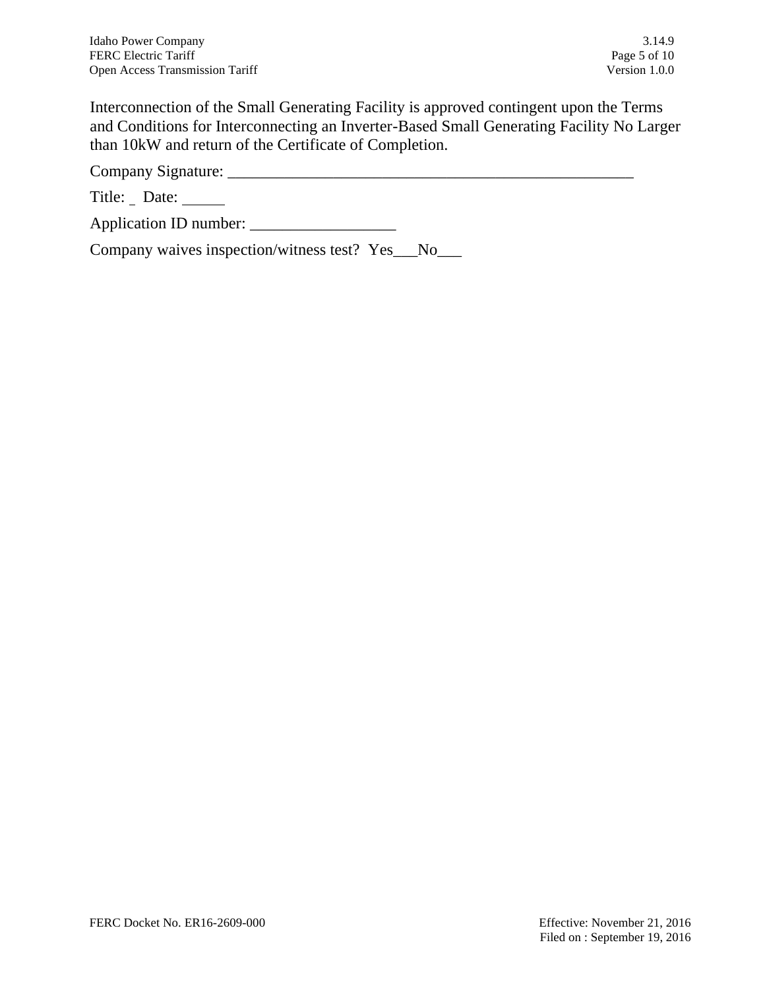Interconnection of the Small Generating Facility is approved contingent upon the Terms and Conditions for Interconnecting an Inverter-Based Small Generating Facility No Larger than 10kW and return of the Certificate of Completion.

Company Signature: \_\_\_\_\_\_\_\_\_\_\_\_\_\_\_\_\_\_\_\_\_\_\_\_\_\_\_\_\_\_\_\_\_\_\_\_\_\_\_\_\_\_\_\_\_\_\_\_\_\_

Title: Date: \_\_\_\_\_

Application ID number: \_\_\_\_\_\_\_\_\_\_\_\_\_\_\_\_\_\_

Company waives inspection/witness test? Yes\_\_\_No\_\_\_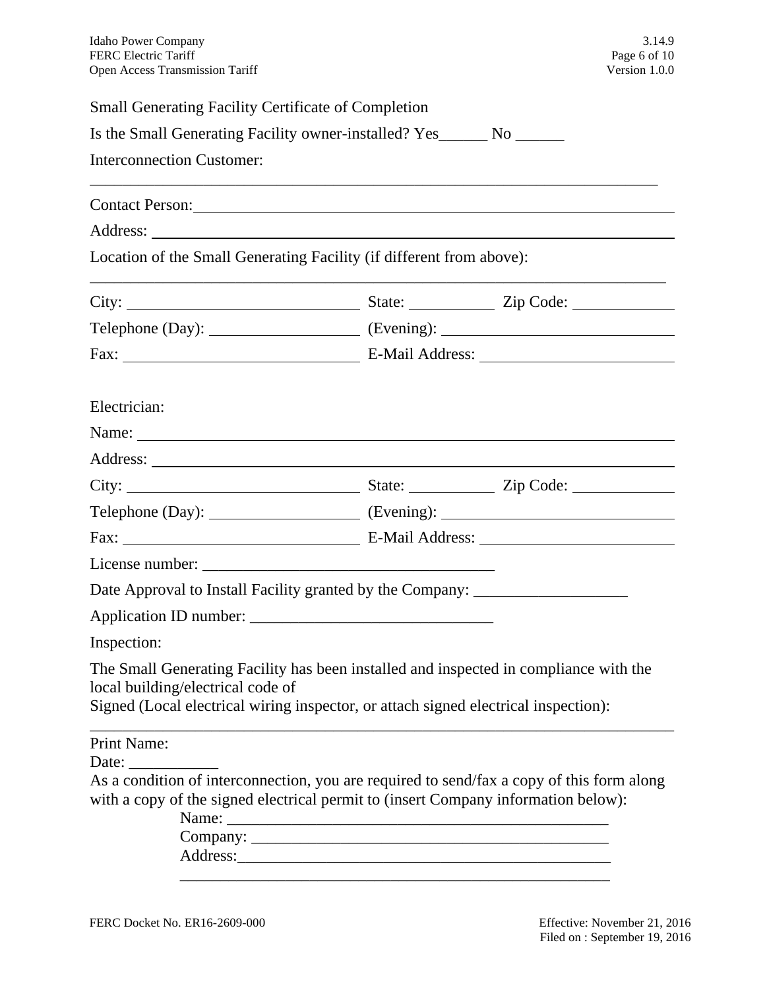| <b>Small Generating Facility Certificate of Completion</b>                                                                                                                                                                    |                                                             |  |  |
|-------------------------------------------------------------------------------------------------------------------------------------------------------------------------------------------------------------------------------|-------------------------------------------------------------|--|--|
| Is the Small Generating Facility owner-installed? Yes_______ No _______                                                                                                                                                       |                                                             |  |  |
| <b>Interconnection Customer:</b>                                                                                                                                                                                              |                                                             |  |  |
| Contact Person: example and the contract person of the contract person of the contract person of the contract of the contract of the contract of the contract of the contract of the contract of the contract of the contract |                                                             |  |  |
|                                                                                                                                                                                                                               |                                                             |  |  |
| Location of the Small Generating Facility (if different from above):                                                                                                                                                          |                                                             |  |  |
|                                                                                                                                                                                                                               |                                                             |  |  |
|                                                                                                                                                                                                                               | Telephone (Day): $\qquad \qquad$ (Evening): $\qquad \qquad$ |  |  |
|                                                                                                                                                                                                                               |                                                             |  |  |
|                                                                                                                                                                                                                               |                                                             |  |  |
| Electrician:                                                                                                                                                                                                                  |                                                             |  |  |
|                                                                                                                                                                                                                               |                                                             |  |  |
|                                                                                                                                                                                                                               |                                                             |  |  |
|                                                                                                                                                                                                                               |                                                             |  |  |
| Telephone (Day): $\qquad \qquad$ (Evening): $\qquad \qquad$                                                                                                                                                                   |                                                             |  |  |
|                                                                                                                                                                                                                               |                                                             |  |  |
|                                                                                                                                                                                                                               |                                                             |  |  |
| Date Approval to Install Facility granted by the Company: ______________________                                                                                                                                              |                                                             |  |  |
|                                                                                                                                                                                                                               |                                                             |  |  |
| Inspection:                                                                                                                                                                                                                   |                                                             |  |  |
| The Small Generating Facility has been installed and inspected in compliance with the<br>local building/electrical code of<br>Signed (Local electrical wiring inspector, or attach signed electrical inspection):             |                                                             |  |  |
| <b>Print Name:</b>                                                                                                                                                                                                            |                                                             |  |  |
|                                                                                                                                                                                                                               |                                                             |  |  |
| As a condition of interconnection, you are required to send/fax a copy of this form along<br>with a copy of the signed electrical permit to (insert Company information below):                                               |                                                             |  |  |
| Name:                                                                                                                                                                                                                         |                                                             |  |  |
|                                                                                                                                                                                                                               |                                                             |  |  |
|                                                                                                                                                                                                                               |                                                             |  |  |
|                                                                                                                                                                                                                               |                                                             |  |  |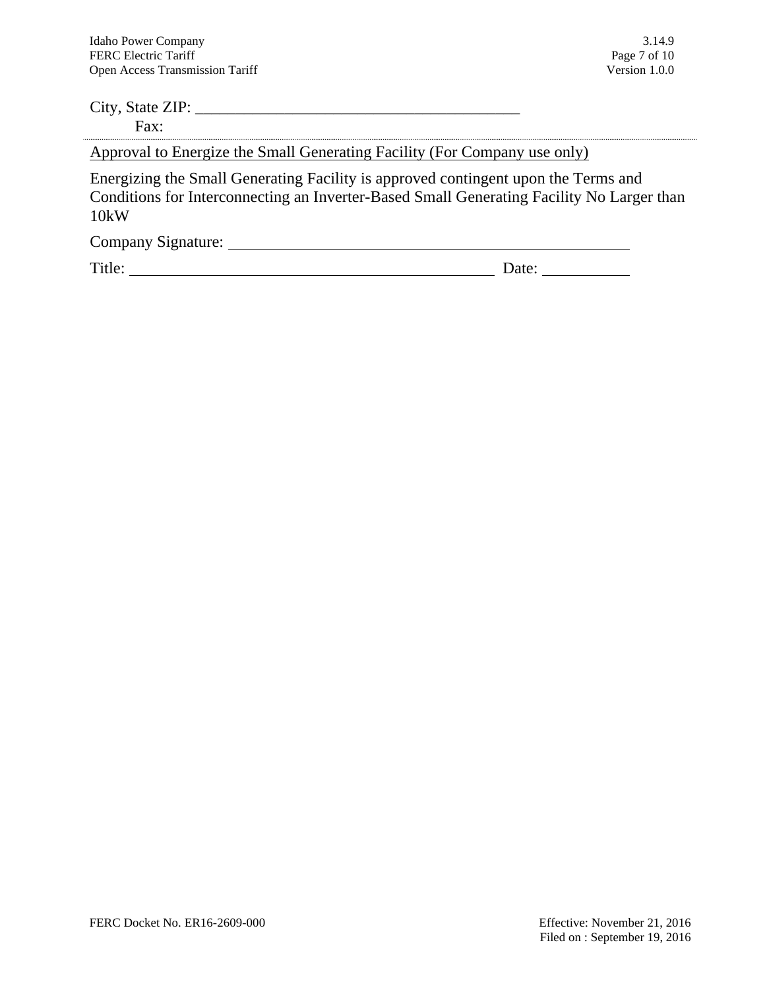# City, State ZIP: \_\_\_\_\_\_\_\_\_\_\_\_\_\_\_\_\_\_\_\_\_\_\_\_\_\_\_\_\_\_\_\_\_\_\_\_\_\_\_\_ Fax: Approval to Energize the Small Generating Facility (For Company use only)

Energizing the Small Generating Facility is approved contingent upon the Terms and Conditions for Interconnecting an Inverter-Based Small Generating Facility No Larger than 10kW

Company Signature:

Title: Date: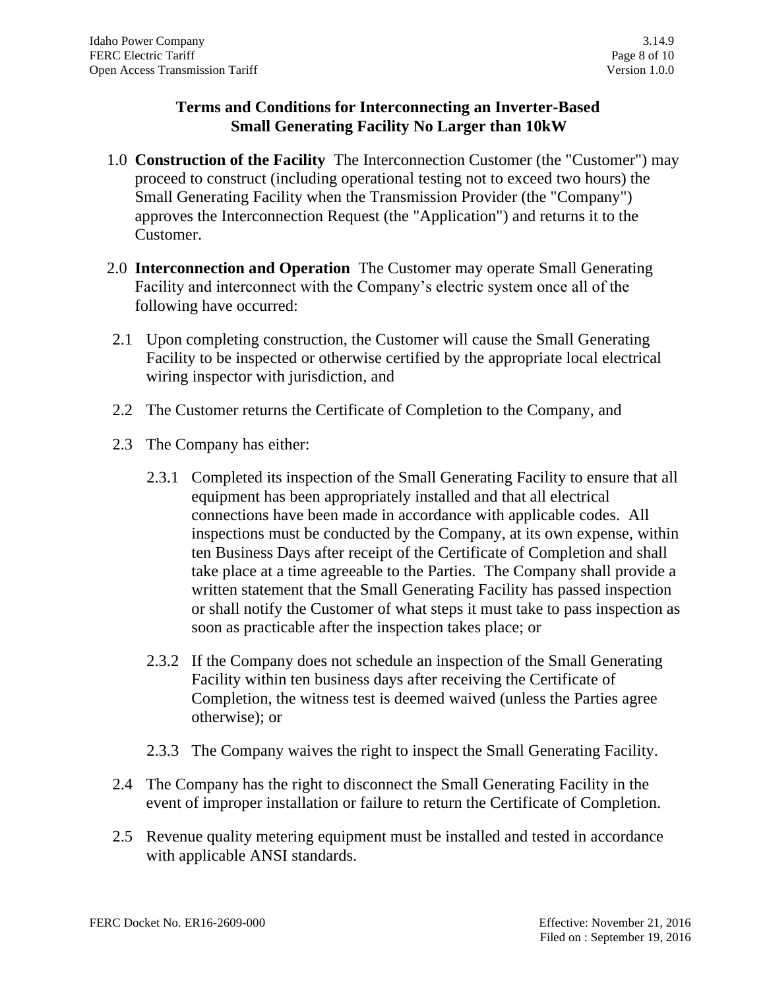## **Terms and Conditions for Interconnecting an Inverter-Based Small Generating Facility No Larger than 10kW**

- 1.0 **Construction of the Facility** The Interconnection Customer (the "Customer") may proceed to construct (including operational testing not to exceed two hours) the Small Generating Facility when the Transmission Provider (the "Company") approves the Interconnection Request (the "Application") and returns it to the Customer.
- 2.0 **Interconnection and Operation** The Customer may operate Small Generating Facility and interconnect with the Company's electric system once all of the following have occurred:
- 2.1 Upon completing construction, the Customer will cause the Small Generating Facility to be inspected or otherwise certified by the appropriate local electrical wiring inspector with jurisdiction, and
- 2.2 The Customer returns the Certificate of Completion to the Company, and
- 2.3 The Company has either:
	- 2.3.1 Completed its inspection of the Small Generating Facility to ensure that all equipment has been appropriately installed and that all electrical connections have been made in accordance with applicable codes. All inspections must be conducted by the Company, at its own expense, within ten Business Days after receipt of the Certificate of Completion and shall take place at a time agreeable to the Parties. The Company shall provide a written statement that the Small Generating Facility has passed inspection or shall notify the Customer of what steps it must take to pass inspection as soon as practicable after the inspection takes place; or
	- 2.3.2 If the Company does not schedule an inspection of the Small Generating Facility within ten business days after receiving the Certificate of Completion, the witness test is deemed waived (unless the Parties agree otherwise); or
	- 2.3.3 The Company waives the right to inspect the Small Generating Facility.
- 2.4 The Company has the right to disconnect the Small Generating Facility in the event of improper installation or failure to return the Certificate of Completion.
- 2.5 Revenue quality metering equipment must be installed and tested in accordance with applicable ANSI standards.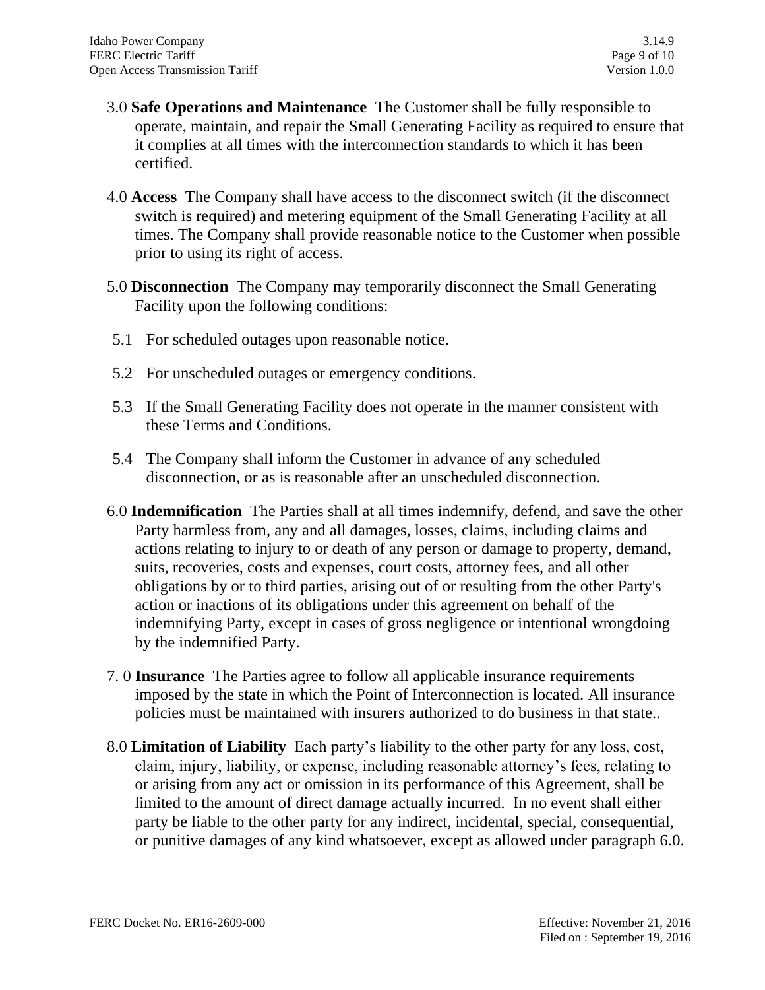- 3.0 **Safe Operations and Maintenance** The Customer shall be fully responsible to operate, maintain, and repair the Small Generating Facility as required to ensure that it complies at all times with the interconnection standards to which it has been certified.
- 4.0 **Access** The Company shall have access to the disconnect switch (if the disconnect switch is required) and metering equipment of the Small Generating Facility at all times. The Company shall provide reasonable notice to the Customer when possible prior to using its right of access.
- 5.0 **Disconnection** The Company may temporarily disconnect the Small Generating Facility upon the following conditions:
- 5.1 For scheduled outages upon reasonable notice.
- 5.2 For unscheduled outages or emergency conditions.
- 5.3 If the Small Generating Facility does not operate in the manner consistent with these Terms and Conditions.
- 5.4 The Company shall inform the Customer in advance of any scheduled disconnection, or as is reasonable after an unscheduled disconnection.
- 6.0 **Indemnification** The Parties shall at all times indemnify, defend, and save the other Party harmless from, any and all damages, losses, claims, including claims and actions relating to injury to or death of any person or damage to property, demand, suits, recoveries, costs and expenses, court costs, attorney fees, and all other obligations by or to third parties, arising out of or resulting from the other Party's action or inactions of its obligations under this agreement on behalf of the indemnifying Party, except in cases of gross negligence or intentional wrongdoing by the indemnified Party.
- 7. 0 **Insurance** The Parties agree to follow all applicable insurance requirements imposed by the state in which the Point of Interconnection is located. All insurance policies must be maintained with insurers authorized to do business in that state..
- 8.0 **Limitation of Liability** Each party's liability to the other party for any loss, cost, claim, injury, liability, or expense, including reasonable attorney's fees, relating to or arising from any act or omission in its performance of this Agreement, shall be limited to the amount of direct damage actually incurred. In no event shall either party be liable to the other party for any indirect, incidental, special, consequential, or punitive damages of any kind whatsoever, except as allowed under paragraph 6.0.